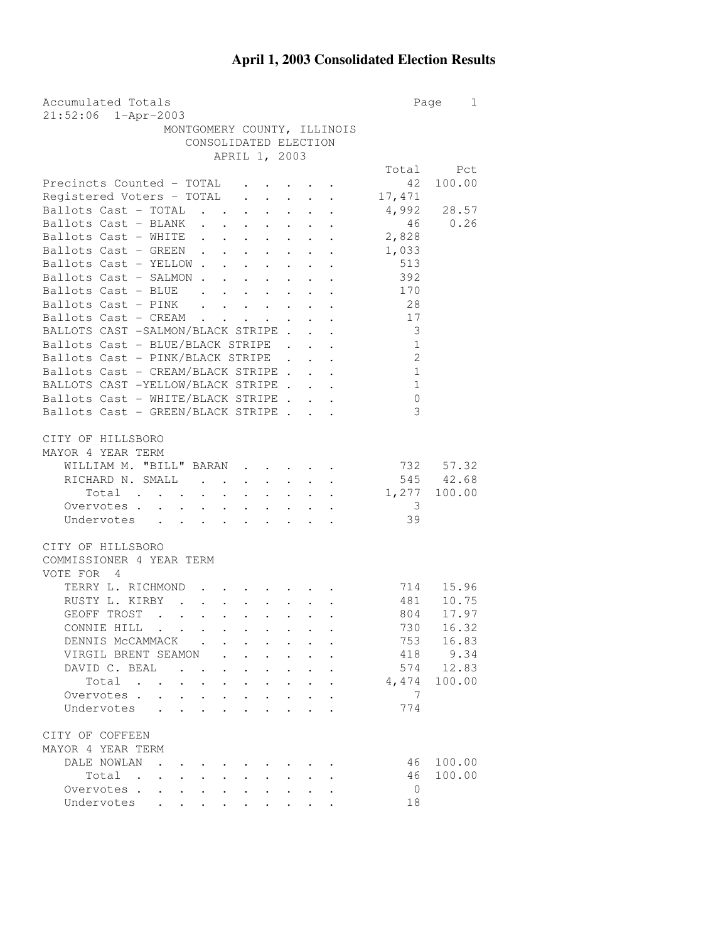## **April 1, 2003 Consolidated Election Results**

| Accumulated Totals                                                                                                                               | Page           | 1            |
|--------------------------------------------------------------------------------------------------------------------------------------------------|----------------|--------------|
| 21:52:06 1-Apr-2003                                                                                                                              |                |              |
| MONTGOMERY COUNTY, ILLINOIS                                                                                                                      |                |              |
| CONSOLIDATED ELECTION                                                                                                                            |                |              |
| APRIL 1, 2003                                                                                                                                    |                |              |
|                                                                                                                                                  | Total          | Pct          |
| Precincts Counted - TOTAL<br>$\mathbf{z} = \mathbf{z} + \mathbf{z} + \mathbf{z}$                                                                 | 42             | 100.00       |
| Registered Voters - TOTAL                                                                                                                        | 17,471         |              |
| Ballots Cast - TOTAL                                                                                                                             | 4,992          | 28.57        |
| Ballots Cast - BLANK<br>$\ddot{\phantom{0}}$<br>$\sim$                                                                                           | 46             | 0.26         |
| Ballots Cast - WHITE<br>$\mathbf{r} = \mathbf{r} + \mathbf{r} + \mathbf{r} + \mathbf{r}$                                                         | 2,828          |              |
| Ballots Cast - GREEN<br>$\ddot{\phantom{a}}$                                                                                                     | 1,033          |              |
| Ballots Cast - YELLOW                                                                                                                            | 513            |              |
| Ballots Cast - SALMON                                                                                                                            | 392            |              |
| Ballots Cast - BLUE<br>and the contract of the contract of the                                                                                   | 170            |              |
| Ballots Cast - PINK                                                                                                                              | 28             |              |
| Ballots Cast - CREAM<br>$\mathbf{r} = \mathbf{r} \times \mathbf{r}$ , where $\mathbf{r}$                                                         | 17             |              |
| BALLOTS CAST -SALMON/BLACK STRIPE.                                                                                                               | 3              |              |
| Ballots Cast - BLUE/BLACK STRIPE                                                                                                                 | $\mathbf{1}$   |              |
| Ballots Cast - PINK/BLACK STRIPE                                                                                                                 | $\overline{c}$ |              |
| Ballots Cast - CREAM/BLACK STRIPE                                                                                                                |                |              |
|                                                                                                                                                  | $\overline{1}$ |              |
| BALLOTS CAST -YELLOW/BLACK STRIPE                                                                                                                | 1              |              |
| Ballots Cast - WHITE/BLACK STRIPE                                                                                                                | $\mathbf{0}$   |              |
| Ballots Cast - GREEN/BLACK STRIPE                                                                                                                | 3              |              |
|                                                                                                                                                  |                |              |
| CITY OF HILLSBORO                                                                                                                                |                |              |
| MAYOR 4 YEAR TERM                                                                                                                                |                |              |
| WILLIAM M. "BILL" BARAN                                                                                                                          |                | 732 57.32    |
| RICHARD N. SMALL.<br>$\bullet$ .<br>$\bullet$ .<br>$\bullet$ .                                                                                   |                | 545 42.68    |
| Total                                                                                                                                            | 1,277          | 100.00       |
| Overvotes.                                                                                                                                       | 3              |              |
| Undervotes                                                                                                                                       | 39             |              |
|                                                                                                                                                  |                |              |
| CITY OF HILLSBORO                                                                                                                                |                |              |
| COMMISSIONER 4 YEAR TERM                                                                                                                         |                |              |
| VOTE FOR 4                                                                                                                                       |                |              |
| TERRY L. RICHMOND<br>$\bullet$ . In the set of the $\bullet$                                                                                     | 714            | 15.96        |
| RUSTY L. KIRBY<br>$\mathbf{L}$<br>$\mathbf{L}^{(1)}$<br>$\sim$ $\sim$                                                                            | 481            | 10.75        |
| $\mathbf{r}$ , $\mathbf{r}$ , $\mathbf{r}$ , $\mathbf{r}$<br>GEOFF TROST<br>$\ddot{\phantom{0}}$<br>$\ddot{\phantom{0}}$<br>$\ddot{\phantom{a}}$ | 804            | 17.97        |
| CONNIE HILL                                                                                                                                      | 730            | 16.32        |
| DENNIS MCCAMMACK                                                                                                                                 | 753            | 16.83        |
| VIRGIL BRENT SEAMON                                                                                                                              |                | 418 9.34     |
| DAVID C. BEAL<br>$\ddot{\phantom{0}}$<br><b>Contract Contract</b><br>$\bullet$ .                                                                 |                | 574 12.83    |
| Total .<br>$\sim 100$ km s $^{-1}$                                                                                                               |                | 4,474 100.00 |
| Overvotes .<br>$\ddot{\phantom{a}}$<br>$\ddot{\phantom{a}}$                                                                                      | 7              |              |
| Undervotes                                                                                                                                       | 774            |              |
|                                                                                                                                                  |                |              |
| CITY OF COFFEEN                                                                                                                                  |                |              |
| MAYOR 4 YEAR TERM                                                                                                                                |                |              |
| DALE NOWLAN                                                                                                                                      | 46             | 100.00       |
| Total<br>$\sim$ $\sim$<br>$\bullet$<br><b>Contract Contract Contract</b>                                                                         | 46             | 100.00       |
| Overvotes                                                                                                                                        | $\overline{0}$ |              |
| $\bullet$ , $\bullet$ , $\bullet$ , $\bullet$<br>Undervotes                                                                                      | 18             |              |
| $\bullet$ .<br><br><br><br><br><br><br><br><br><br><br><br><br>$\cdot$ $\cdot$ $\cdot$                                                           |                |              |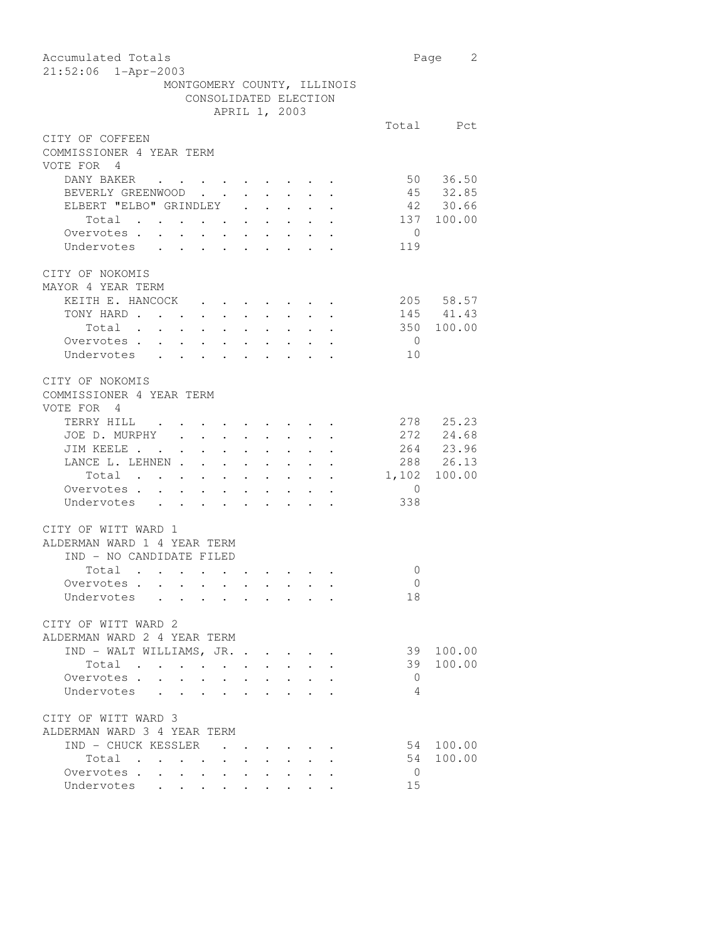| Accumulated Totals<br>21:52:06 1-Apr-2003                                                                                                                                     |                | Page 2                 |
|-------------------------------------------------------------------------------------------------------------------------------------------------------------------------------|----------------|------------------------|
| MONTGOMERY COUNTY, ILLINOIS<br>CONSOLIDATED ELECTION                                                                                                                          |                |                        |
| APRIL 1, 2003                                                                                                                                                                 |                |                        |
|                                                                                                                                                                               |                | Total Pct              |
| CITY OF COFFEEN<br>COMMISSIONER 4 YEAR TERM<br>VOTE FOR 4                                                                                                                     |                |                        |
| DANY BAKER                                                                                                                                                                    |                | 50 36.50               |
| BEVERLY GREENWOOD                                                                                                                                                             |                | 45 32.85               |
| ELBERT "ELBO" GRINDLEY                                                                                                                                                        |                | 42 30.66               |
| Total<br>$\ddot{\phantom{a}}$                                                                                                                                                 |                | 137 100.00             |
| Overvotes .<br>$\ddot{\phantom{a}}$<br>$\sim$ $-$                                                                                                                             | $\overline{0}$ |                        |
| $\mathcal{L}^{\text{max}}$<br>Undervotes<br>$\mathbf{L}$<br>$\mathbf{L}$<br>$\mathbf{r}$<br>$\sim$<br>$\mathbf{L}$<br>$\mathbf{L}$                                            | 119            |                        |
| CITY OF NOKOMIS<br>MAYOR 4 YEAR TERM                                                                                                                                          |                |                        |
| KEITH E. HANCOCK                                                                                                                                                              |                | 205 58.57              |
| TONY HARD<br>$\bullet$ . In the case of the $\sim$                                                                                                                            |                | 145 41.43              |
| Total .<br>$\mathbf{L}^{\text{max}}$ , and $\mathbf{L}^{\text{max}}$<br>$\mathbf{r} = \mathbf{r} + \mathbf{r}$ , $\mathbf{r} = \mathbf{r}$                                    |                | 350 100.00             |
| Overvotes.<br>$\sim 10^{-11}$<br>$\ddot{\phantom{0}}$                                                                                                                         | $\overline{0}$ |                        |
| Undervotes<br>$\sim$                                                                                                                                                          | 10             |                        |
| CITY OF NOKOMIS<br>COMMISSIONER 4 YEAR TERM<br>VOTE FOR 4                                                                                                                     |                |                        |
| TERRY HILL .                                                                                                                                                                  |                | 278 25.23              |
| JOE D. MURPHY .<br>$\ddot{\phantom{a}}$ . The set of $\ddot{\phantom{a}}$                                                                                                     |                | 272 24.68              |
| JIM KEELE<br>$\mathbf{r} = \mathbf{r} \mathbf{r}$ .                                                                                                                           |                | 264 23.96<br>288 26.13 |
| LANCE L. LEHNEN<br>$\sim$<br>$\ddot{\phantom{a}}$                                                                                                                             |                |                        |
| $\mathbf{L}^{\text{max}}$ , $\mathbf{L}^{\text{max}}$<br>Total<br>$\ddot{\phantom{a}}$<br>$\ddot{\phantom{a}}$                                                                | 1,102 100.00   |                        |
| Overvotes<br>$\ddot{\phantom{a}}$ . $\ddot{\phantom{a}}$<br>$\ddot{\phantom{0}}$<br>$\sim$                                                                                    | $\overline{0}$ |                        |
| $\mathbf{r}$ and $\mathbf{r}$ and $\mathbf{r}$ and $\mathbf{r}$ and $\mathbf{r}$ and $\mathbf{r}$<br>Undervotes                                                               | 338            |                        |
| CITY OF WITT WARD 1<br>ALDERMAN WARD 1 4 YEAR TERM<br>IND - NO CANDIDATE FILED                                                                                                |                |                        |
| Total .<br>$\sim$ $\sim$<br>$\mathcal{L}(\mathcal{A})$ , and $\mathcal{A}(\mathcal{A})$ , and $\mathcal{A}(\mathcal{A})$<br>$\sim$                                            | 0              |                        |
| Overvotes .<br>$\sim$<br>$\bullet$ .<br>$\mathcal{A}$ , and $\mathcal{A}$ , and $\mathcal{A}$ , and $\mathcal{A}$                                                             | $\overline{0}$ |                        |
| Undervotes                                                                                                                                                                    | 18             |                        |
| CITY OF WITT WARD 2<br>ALDERMAN WARD 2 4 YEAR TERM                                                                                                                            |                |                        |
| IND - WALT WILLIAMS, JR.                                                                                                                                                      | 39             | 100.00                 |
| Total<br>$\bullet$ . In the case of the case of the $\sim$                                                                                                                    |                | 39 100.00              |
| Overvotes                                                                                                                                                                     | $\overline{0}$ |                        |
| Undervotes                                                                                                                                                                    | 4              |                        |
| CITY OF WITT WARD 3<br>ALDERMAN WARD 3 4 YEAR TERM                                                                                                                            |                |                        |
| IND - CHUCK KESSLER<br>and the contract of the contract of                                                                                                                    | 54             | 100.00                 |
| Total<br>and the contract of the state of the<br>$\sim$ $\sim$<br>$\mathbf{r} = \mathbf{r}$                                                                                   | 54             | 100.00                 |
| Overvotes<br>$\bullet$ .<br><br><br><br><br><br><br><br><br><br><br><br><br><br>                                                                                              | $\overline{0}$ |                        |
| Undervotes<br>$\bullet$ . In the set of $\bullet$<br>$\mathbf{L}^{\text{max}}$<br>$\begin{array}{cccccccccccccc} \bullet & \bullet & \bullet & \bullet & \bullet \end{array}$ | 15             |                        |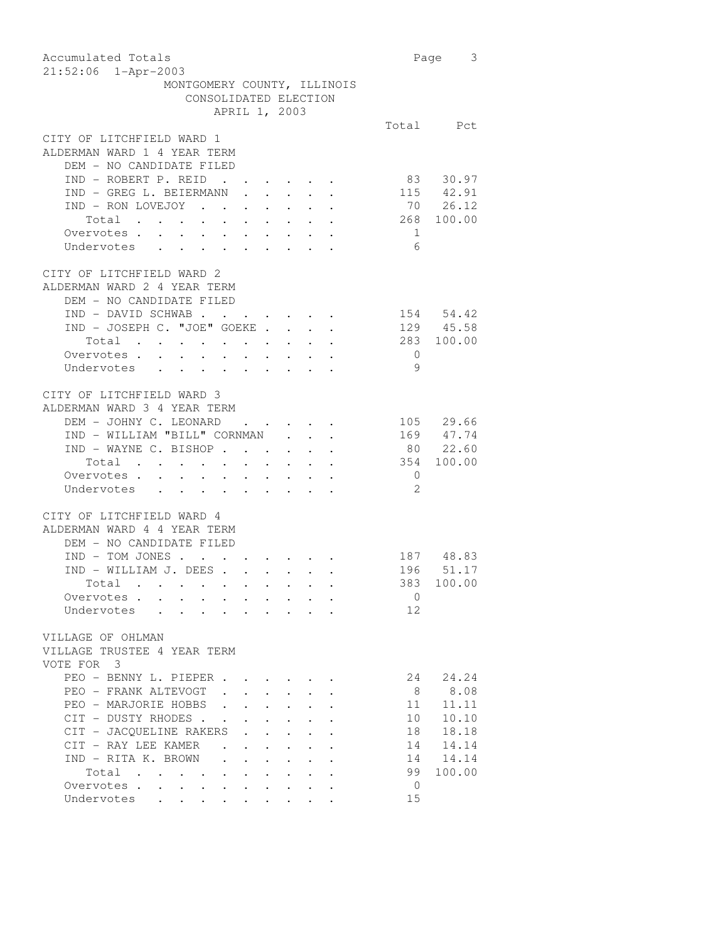| Accumulated Totals                                                                                                                               |                | Page 3        |
|--------------------------------------------------------------------------------------------------------------------------------------------------|----------------|---------------|
| $21:52:06$ $1 - Appr-2003$                                                                                                                       |                |               |
| MONTGOMERY COUNTY, ILLINOIS                                                                                                                      |                |               |
| CONSOLIDATED ELECTION                                                                                                                            |                |               |
| APRIL 1, 2003                                                                                                                                    |                |               |
|                                                                                                                                                  |                | Total Pct     |
| CITY OF LITCHFIELD WARD 1                                                                                                                        |                |               |
| ALDERMAN WARD 1 4 YEAR TERM                                                                                                                      |                |               |
| DEM - NO CANDIDATE FILED                                                                                                                         |                |               |
| IND - ROBERT P. REID                                                                                                                             | 83             | 30.97         |
| IND - GREG L. BEIERMANN .<br>$\mathbf{r}$<br>$\sim$                                                                                              |                | 115 42.91     |
| IND - RON LOVEJOY                                                                                                                                |                | 70 26.12      |
| Total                                                                                                                                            |                | 268 100.00    |
|                                                                                                                                                  |                |               |
| Overvotes.                                                                                                                                       | $\overline{1}$ |               |
| Undervotes                                                                                                                                       | - 6            |               |
|                                                                                                                                                  |                |               |
| CITY OF LITCHFIELD WARD 2                                                                                                                        |                |               |
| ALDERMAN WARD 2 4 YEAR TERM                                                                                                                      |                |               |
| DEM - NO CANDIDATE FILED                                                                                                                         |                |               |
| IND - DAVID SCHWAB                                                                                                                               |                | 154 54.42     |
| IND - JOSEPH C. "JOE" GOEKE                                                                                                                      |                | 129 45.58     |
| Total                                                                                                                                            |                | 283 100.00    |
| Overvotes.                                                                                                                                       | $\overline{0}$ |               |
| Undervotes                                                                                                                                       | - 9            |               |
|                                                                                                                                                  |                |               |
| CITY OF LITCHFIELD WARD 3                                                                                                                        |                |               |
| ALDERMAN WARD 3 4 YEAR TERM                                                                                                                      |                |               |
| DEM - JOHNY C. LEONARD<br>$\mathbf{r}$ , $\mathbf{r}$                                                                                            |                | 105 29.66     |
| IND - WILLIAM "BILL" CORNMAN .<br>$\mathbf{r}$                                                                                                   |                | $169$ $47.74$ |
| IND - WAYNE C. BISHOP                                                                                                                            |                | 80 22.60      |
| Total                                                                                                                                            |                | 354 100.00    |
| Overvotes.                                                                                                                                       | $\overline{0}$ |               |
| Undervotes                                                                                                                                       | 2              |               |
|                                                                                                                                                  |                |               |
| CITY OF LITCHFIELD WARD 4                                                                                                                        |                |               |
| ALDERMAN WARD 4 4 YEAR TERM                                                                                                                      |                |               |
| DEM - NO CANDIDATE FILED                                                                                                                         |                |               |
| $IND - TOM JONES$                                                                                                                                |                | 187 48.83     |
| IND - WILLIAM J. DEES                                                                                                                            |                | 196 51.17     |
| Total<br>the control of the control of the control of the control of the control of the control of                                               |                | 383 100.00    |
| Overvotes                                                                                                                                        | 0              |               |
| Undervotes                                                                                                                                       | 12             |               |
|                                                                                                                                                  |                |               |
| VILLAGE OF OHLMAN                                                                                                                                |                |               |
| VILLAGE TRUSTEE 4 YEAR TERM                                                                                                                      |                |               |
| VOTE FOR 3                                                                                                                                       |                |               |
|                                                                                                                                                  |                |               |
| PEO - BENNY L. PIEPER                                                                                                                            | 24             | 24.24         |
| PEO - FRANK ALTEVOGT                                                                                                                             | 8 <sup>8</sup> | 8.08          |
| PEO - MARJORIE HOBBS                                                                                                                             | 11             | 11.11         |
| CIT - DUSTY RHODES                                                                                                                               | 10             | 10.10         |
| CIT - JACQUELINE RAKERS<br>$\ddot{\phantom{0}}$<br>$\mathbf{L} = \mathbf{L} \mathbf{L}$<br>$\ddot{\phantom{0}}$                                  | 18             | 18.18         |
| CIT - RAY LEE KAMER<br>$\sim$ $-$<br>$\bullet$ .<br><br><br><br><br><br><br><br><br><br><br><br><br>$\ddot{\phantom{0}}$<br>$\ddot{\phantom{0}}$ | 14             | 14.14         |
| IND - RITA K. BROWN<br>$\sim$<br>$\ddot{\phantom{0}}$<br>$\sim$ $-$<br>$\ddot{\phantom{0}}$                                                      |                | 14 14.14      |
| Total                                                                                                                                            | 99             | 100.00        |
| Overvotes.<br>$\sim$<br>$\sim$<br>$\mathbf{L}^{\text{max}}$<br>$\sim$ $-$                                                                        | $\overline{0}$ |               |
| Undervotes                                                                                                                                       | 15             |               |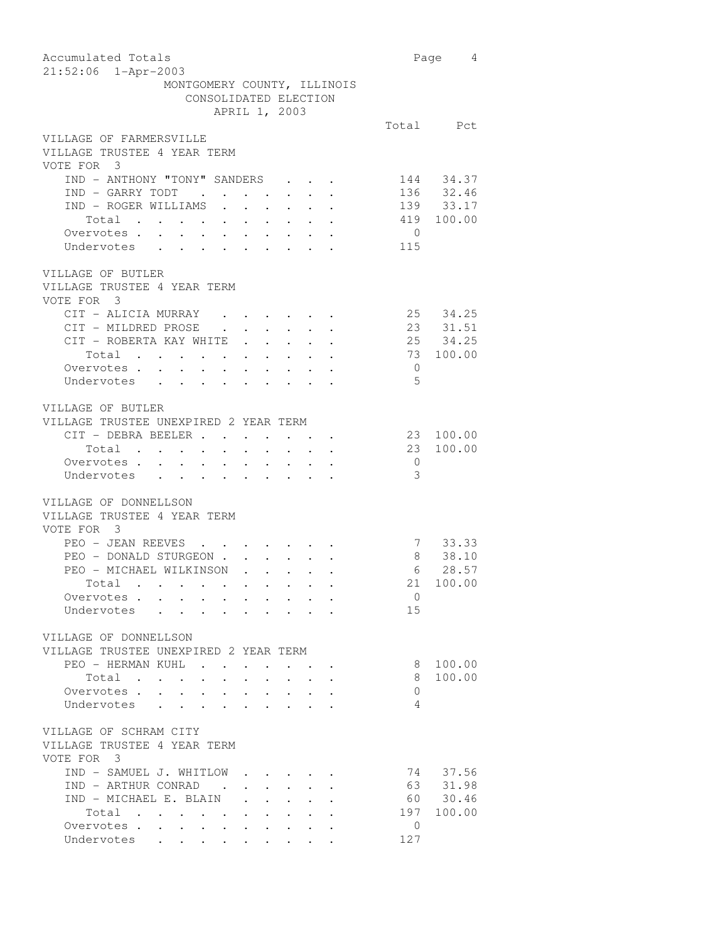| Accumulated Totals                                                                                                         |                 | Page 4        |
|----------------------------------------------------------------------------------------------------------------------------|-----------------|---------------|
| 21:52:06 1-Apr-2003                                                                                                        |                 |               |
| MONTGOMERY COUNTY, ILLINOIS                                                                                                |                 |               |
| CONSOLIDATED ELECTION                                                                                                      |                 |               |
| APRIL 1, 2003                                                                                                              |                 |               |
|                                                                                                                            |                 | Total Pct     |
| VILLAGE OF FARMERSVILLE                                                                                                    |                 |               |
| VILLAGE TRUSTEE 4 YEAR TERM                                                                                                |                 |               |
| VOTE FOR 3                                                                                                                 |                 |               |
| IND - ANTHONY "TONY" SANDERS                                                                                               |                 | 144 34.37     |
|                                                                                                                            |                 | $136$ $32.46$ |
|                                                                                                                            |                 | 139 33.17     |
|                                                                                                                            |                 | 419 100.00    |
|                                                                                                                            |                 |               |
| Overvotes                                                                                                                  | $\overline{0}$  |               |
| Undervotes                                                                                                                 | 115             |               |
|                                                                                                                            |                 |               |
| VILLAGE OF BUTLER                                                                                                          |                 |               |
| VILLAGE TRUSTEE 4 YEAR TERM                                                                                                |                 |               |
| VOTE FOR 3                                                                                                                 |                 |               |
| CIT - ALICIA MURRAY .                                                                                                      |                 | 25 34.25      |
| CIT - MILDRED PROSE                                                                                                        |                 | 23 31.51      |
| $\ddot{\phantom{a}}$<br>CIT - ROBERTA KAY WHITE                                                                            |                 | 25 34.25      |
| Total                                                                                                                      | 73              | 100.00        |
| Overvotes.                                                                                                                 | $\overline{0}$  |               |
|                                                                                                                            | $5^{\circ}$     |               |
| Undervotes                                                                                                                 |                 |               |
|                                                                                                                            |                 |               |
| VILLAGE OF BUTLER                                                                                                          |                 |               |
| VILLAGE TRUSTEE UNEXPIRED 2 YEAR TERM                                                                                      |                 |               |
| CIT - DEBRA BEELER<br>$\ddot{\phantom{0}}$                                                                                 | 23              | 100.00        |
| Total<br>$\sim 10^{-11}$<br>$\bullet$ .<br>$\sim$ $-$<br>$\mathcal{A}^{\mathcal{A}}$ and $\mathcal{A}^{\mathcal{A}}$       | 23              | 100.00        |
| Overvotes                                                                                                                  | $\overline{0}$  |               |
| Undervotes                                                                                                                 | -3              |               |
|                                                                                                                            |                 |               |
| VILLAGE OF DONNELLSON                                                                                                      |                 |               |
| VILLAGE TRUSTEE 4 YEAR TERM                                                                                                |                 |               |
| VOTE FOR 3                                                                                                                 |                 |               |
| PEO - JEAN REEVES                                                                                                          |                 | 7 33.33       |
| PEO - DONALD STURGEON .                                                                                                    |                 | 8 38.10       |
| $\mathbf{r}$ and $\mathbf{r}$ and $\mathbf{r}$ and $\mathbf{r}$<br>PEO - MICHAEL WILKINSON                                 | $6\overline{6}$ | 28.57         |
|                                                                                                                            |                 |               |
| Total .                                                                                                                    |                 | 21 100.00     |
| Overvotes                                                                                                                  | $\Omega$        |               |
| Undervotes                                                                                                                 | 15              |               |
|                                                                                                                            |                 |               |
| VILLAGE OF DONNELLSON                                                                                                      |                 |               |
| VILLAGE TRUSTEE UNEXPIRED 2 YEAR TERM                                                                                      |                 |               |
| PEO - HERMAN KUHL                                                                                                          | 8               | 100.00        |
| Total<br>$\ddot{\phantom{0}}$                                                                                              | 8               | 100.00        |
| Overvotes<br>$\sim$ $\sim$<br>$\ddot{\phantom{0}}$<br>$\ddot{\phantom{0}}$<br>$\ddot{\phantom{0}}$<br>$\ddot{\phantom{0}}$ | $\overline{0}$  |               |
| Undervotes                                                                                                                 | 4               |               |
|                                                                                                                            |                 |               |
| VILLAGE OF SCHRAM CITY                                                                                                     |                 |               |
|                                                                                                                            |                 |               |
| VILLAGE TRUSTEE 4 YEAR TERM                                                                                                |                 |               |
| VOTE FOR 3                                                                                                                 |                 |               |
| IND - SAMUEL J. WHITLOW.                                                                                                   |                 | 74 37.56      |
| IND - ARTHUR CONRAD .                                                                                                      | 63              | 31.98         |
| IND - MICHAEL E. BLAIN .<br>$\mathbf{L}^{\text{max}}$                                                                      |                 | 60 30.46      |
| Total<br>$\mathbf{r}$ , $\mathbf{r}$ , $\mathbf{r}$ , $\mathbf{r}$                                                         |                 | 197 100.00    |
| Overvotes.                                                                                                                 | $\mathbf{0}$    |               |
| Undervotes                                                                                                                 | 127             |               |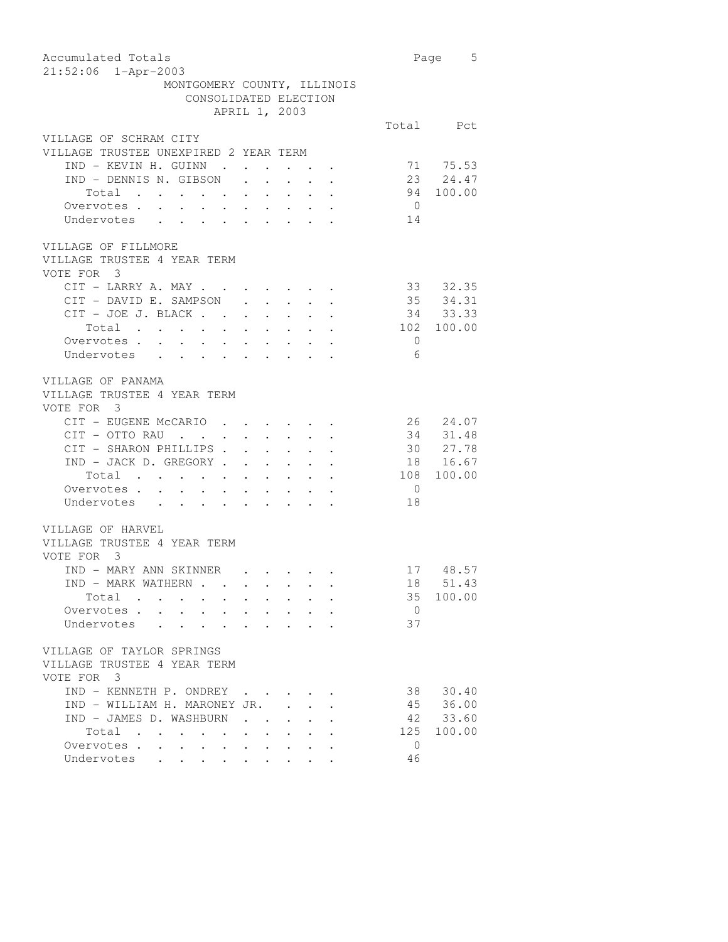| Accumulated Totals                      |                                                                 |                                                                   |                                                                                                 |                | 5<br>Page             |
|-----------------------------------------|-----------------------------------------------------------------|-------------------------------------------------------------------|-------------------------------------------------------------------------------------------------|----------------|-----------------------|
| 21:52:06 1-Apr-2003                     |                                                                 |                                                                   |                                                                                                 |                |                       |
| MONTGOMERY COUNTY, ILLINOIS             |                                                                 |                                                                   |                                                                                                 |                |                       |
| CONSOLIDATED ELECTION                   |                                                                 |                                                                   |                                                                                                 |                |                       |
| APRIL 1, 2003                           |                                                                 |                                                                   |                                                                                                 |                |                       |
|                                         |                                                                 |                                                                   |                                                                                                 |                | Total Pct             |
| VILLAGE OF SCHRAM CITY                  |                                                                 |                                                                   |                                                                                                 |                |                       |
| VILLAGE TRUSTEE UNEXPIRED 2 YEAR TERM   |                                                                 |                                                                   |                                                                                                 |                |                       |
| IND - KEVIN H. GUINN .                  | $\cdot$ $\cdot$                                                 |                                                                   |                                                                                                 |                | 71 75.53              |
| IND - DENNIS N. GIBSON                  | $\sim$                                                          | $\bullet$ .                                                       |                                                                                                 |                | 23 24.47<br>94 100.00 |
| Total<br>Overvotes<br>Undervotes        |                                                                 |                                                                   |                                                                                                 |                |                       |
|                                         |                                                                 |                                                                   |                                                                                                 | $\overline{0}$ |                       |
|                                         |                                                                 |                                                                   |                                                                                                 | 14             |                       |
|                                         |                                                                 |                                                                   |                                                                                                 |                |                       |
| VILLAGE OF FILLMORE                     |                                                                 |                                                                   |                                                                                                 |                |                       |
| VILLAGE TRUSTEE 4 YEAR TERM             |                                                                 |                                                                   |                                                                                                 |                |                       |
| VOTE FOR 3                              |                                                                 |                                                                   |                                                                                                 |                |                       |
| $CIT$ - LARRY A. MAY                    |                                                                 |                                                                   |                                                                                                 |                | 33 32.35              |
| CIT - DAVID E. SAMPSON                  | $\ddot{\phantom{0}}$                                            | $\mathcal{L}^{\text{max}}(\mathcal{L}^{\text{max}}(\mathcal{L}))$ |                                                                                                 |                | 35 34.31<br>34 33.33  |
| CIT - JOE J. BLACK                      |                                                                 |                                                                   |                                                                                                 |                |                       |
|                                         |                                                                 |                                                                   |                                                                                                 |                | 102 100.00            |
|                                         |                                                                 |                                                                   |                                                                                                 | $\overline{0}$ |                       |
| Undervotes                              |                                                                 |                                                                   |                                                                                                 | 6              |                       |
|                                         |                                                                 |                                                                   |                                                                                                 |                |                       |
| VILLAGE OF PANAMA                       |                                                                 |                                                                   |                                                                                                 |                |                       |
| VILLAGE TRUSTEE 4 YEAR TERM             |                                                                 |                                                                   |                                                                                                 |                |                       |
| VOTE FOR 3                              |                                                                 |                                                                   |                                                                                                 |                |                       |
| CIT - EUGENE McCARIO                    |                                                                 |                                                                   |                                                                                                 |                | 26 24.07              |
|                                         |                                                                 |                                                                   | $\mathcal{A}^{\mathcal{A}}$ , and $\mathcal{A}^{\mathcal{A}}$ , and $\mathcal{A}^{\mathcal{A}}$ | 34             | 31.48                 |
| CIT - OTTO RAU<br>CIT - SHARON PHILLIPS |                                                                 |                                                                   | $\mathcal{A}^{\mathcal{A}}$ and $\mathcal{A}^{\mathcal{A}}$                                     |                | 30 27.78              |
| $IND - JACK D. GREGORY$                 |                                                                 |                                                                   |                                                                                                 |                | 18 16.67              |
| Total                                   |                                                                 |                                                                   |                                                                                                 | 108            | 100.00                |
|                                         |                                                                 |                                                                   |                                                                                                 |                |                       |
| Overvotes.                              |                                                                 |                                                                   |                                                                                                 | $\overline{0}$ |                       |
| Undervotes                              |                                                                 |                                                                   |                                                                                                 | 18             |                       |
|                                         |                                                                 |                                                                   |                                                                                                 |                |                       |
| VILLAGE OF HARVEL                       |                                                                 |                                                                   |                                                                                                 |                |                       |
| VILLAGE TRUSTEE 4 YEAR TERM             |                                                                 |                                                                   |                                                                                                 |                |                       |
| VOTE FOR 3                              |                                                                 |                                                                   |                                                                                                 |                |                       |
| IND - MARY ANN SKINNER                  |                                                                 |                                                                   |                                                                                                 |                | 17 48.57              |
| <b>TND - MARK WATHERN</b>               |                                                                 |                                                                   |                                                                                                 | 18             | 51.43                 |
| Total                                   |                                                                 |                                                                   |                                                                                                 | 35             | 100.00                |
| Overvotes.                              |                                                                 |                                                                   |                                                                                                 | $\overline{0}$ |                       |
| Undervotes                              |                                                                 |                                                                   |                                                                                                 | 37             |                       |
|                                         |                                                                 |                                                                   |                                                                                                 |                |                       |
| VILLAGE OF TAYLOR SPRINGS               |                                                                 |                                                                   |                                                                                                 |                |                       |
| VILLAGE TRUSTEE 4 YEAR TERM             |                                                                 |                                                                   |                                                                                                 |                |                       |
| VOTE FOR 3                              |                                                                 |                                                                   |                                                                                                 |                |                       |
| IND - KENNETH P. ONDREY                 |                                                                 |                                                                   |                                                                                                 | 38             | 30.40                 |
| IND - WILLIAM H. MARONEY JR.            |                                                                 |                                                                   |                                                                                                 |                | 45 36.00              |
| IND - JAMES D. WASHBURN                 |                                                                 | $\ddot{\phantom{0}}$                                              |                                                                                                 |                | 42 33.60              |
| Total                                   | $\bullet$ .<br><br><br><br><br><br><br><br><br><br><br><br><br> |                                                                   |                                                                                                 | 125            | 100.00                |
| Overvotes                               |                                                                 | $\bullet$ .<br><br><br><br><br><br><br><br><br><br><br><br><br>   |                                                                                                 | $\overline{0}$ |                       |
| Undervotes                              |                                                                 |                                                                   |                                                                                                 | 46             |                       |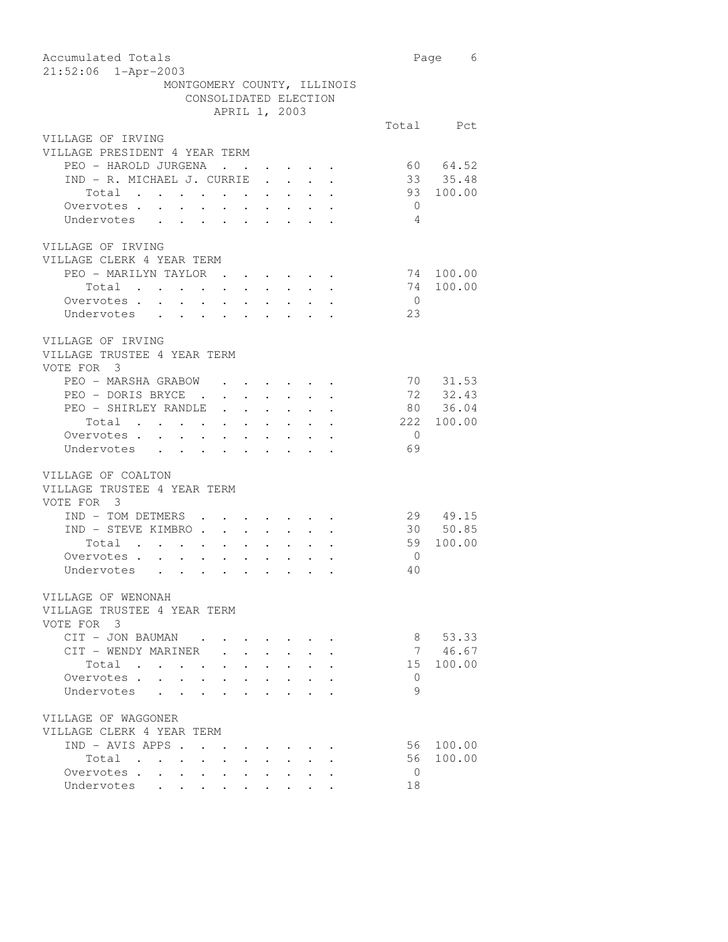| Accumulated Totals                                                                                                                              |                | Page 6     |
|-------------------------------------------------------------------------------------------------------------------------------------------------|----------------|------------|
| $21:52:06$ $1 - Appr-2003$                                                                                                                      |                |            |
| MONTGOMERY COUNTY, ILLINOIS                                                                                                                     |                |            |
| CONSOLIDATED ELECTION                                                                                                                           |                |            |
| APRIL 1, 2003                                                                                                                                   |                |            |
|                                                                                                                                                 |                | Total Pct  |
| VILLAGE OF IRVING<br>VILLAGE PRESIDENT 4 YEAR TERM                                                                                              |                |            |
| PEO - HAROLD JURGENA                                                                                                                            |                | 60 64.52   |
| <b>Contract Contract</b><br>$\bullet$ .<br><br><br><br><br><br><br><br><br><br>IND - R. MICHAEL J. CURRIE<br>$\mathbf{L}$                       |                | 33 35.48   |
| Total                                                                                                                                           |                | 93 100.00  |
| Overvotes.<br>$\ddot{\phantom{0}}$<br>$\ddot{\phantom{0}}$<br>$\ddot{\phantom{0}}$<br>$\sim$                                                    | $\overline{0}$ |            |
| Undervotes<br>$\ddot{\phantom{0}}$<br>$\mathbf{L}$ and $\mathbf{L}$<br>$\sim$<br>$\mathbf{r}$<br>$\mathbf{r}$ and $\mathbf{r}$                  | $\overline{4}$ |            |
|                                                                                                                                                 |                |            |
| VILLAGE OF IRVING                                                                                                                               |                |            |
| VILLAGE CLERK 4 YEAR TERM                                                                                                                       |                |            |
| PEO - MARILYN TAYLOR<br>$\mathcal{L}(\mathbf{x})$ . The contribution of the contribution of $\mathcal{L}(\mathbf{x})$                           |                | 74 100.00  |
| Total                                                                                                                                           | 74             | 100.00     |
| Overvotes .<br>$\mathbf{u}=(\mathbf{u}_1,\ldots,\mathbf{u}_n)$ . $\mathbf{u}_2,\ldots,\mathbf{u}_n$ , $\mathbf{u}_n$ , $\mathbf{u}_n$<br>$\sim$ | $\overline{0}$ |            |
| Undervotes                                                                                                                                      | 23             |            |
|                                                                                                                                                 |                |            |
| VILLAGE OF IRVING                                                                                                                               |                |            |
| VILLAGE TRUSTEE 4 YEAR TERM                                                                                                                     |                |            |
| VOTE FOR 3                                                                                                                                      |                |            |
| PEO - MARSHA GRABOW<br>$\mathbf{r} = \mathbf{r} + \mathbf{r} + \mathbf{r} + \mathbf{r} + \mathbf{r} + \mathbf{r}$                               | 70             | 31.53      |
| PEO - DORIS BRYCE .<br>$\mathbf{r} = \mathbf{r} + \mathbf{r} + \mathbf{r} + \mathbf{r} + \mathbf{r} + \mathbf{r}$                               |                | 72 32.43   |
| PEO - SHIRLEY RANDLE                                                                                                                            | 80             | 36.04      |
| Total                                                                                                                                           |                | 222 100.00 |
| Overvotes.<br>$\mathbf{r}$<br>$\mathbf{r} = \mathbf{r} + \mathbf{r}$ , where $\mathbf{r}$<br>$\mathbf{a}$ .                                     | $\bigcirc$     |            |
| Undervotes<br>$\ddot{\phantom{0}}$<br>$\mathbf{L}^{\text{max}}$                                                                                 | 69             |            |
|                                                                                                                                                 |                |            |
| VILLAGE OF COALTON                                                                                                                              |                |            |
| VILLAGE TRUSTEE 4 YEAR TERM                                                                                                                     |                |            |
| VOTE FOR 3                                                                                                                                      |                |            |
| IND - TOM DETMERS .                                                                                                                             |                | 29 49.15   |
| IND - STEVE KIMBRO                                                                                                                              |                | 30 50.85   |
| Total                                                                                                                                           | 59             | 100.00     |
| Overvotes.<br>$\ddot{\phantom{0}}$<br>$\ddot{\phantom{0}}$<br>$\mathbf{r} = \left\{ \mathbf{r}_1, \ldots, \mathbf{r}_n \right\}$ ,              | $\overline{0}$ |            |
| Undervotes .<br>$\ddot{\phantom{0}}$<br>$\mathbf{r} = \mathbf{r} + \mathbf{r}$<br>$\sim$                                                        | 40             |            |
|                                                                                                                                                 |                |            |
| VILLAGE OF WENONAH                                                                                                                              |                |            |
| VILLAGE TRUSTEE 4 YEAR TERM                                                                                                                     |                |            |
| VOTE FOR 3                                                                                                                                      |                |            |
| CIT - JON BAUMAN                                                                                                                                | 8              | 53.33      |
| CIT - WENDY MARINER                                                                                                                             | 7              | 46.67      |
| Total .                                                                                                                                         | 15             | 100.00     |
| Overvotes .                                                                                                                                     | 0              |            |
| Undervotes                                                                                                                                      | 9              |            |
|                                                                                                                                                 |                |            |
| VILLAGE OF WAGGONER                                                                                                                             |                |            |
| VILLAGE CLERK 4 YEAR TERM                                                                                                                       |                |            |
| IND - AVIS APPS.                                                                                                                                | 56             | 100.00     |
| Total<br>$\bullet$ .<br><br><br><br><br><br><br><br><br><br><br><br><br>$\bullet$                                                               | 56             | 100.00     |
| Overvotes.<br>$\ddot{\phantom{0}}$<br>$\bullet$                                                                                                 | $\overline{0}$ |            |
| Undervotes                                                                                                                                      | 18             |            |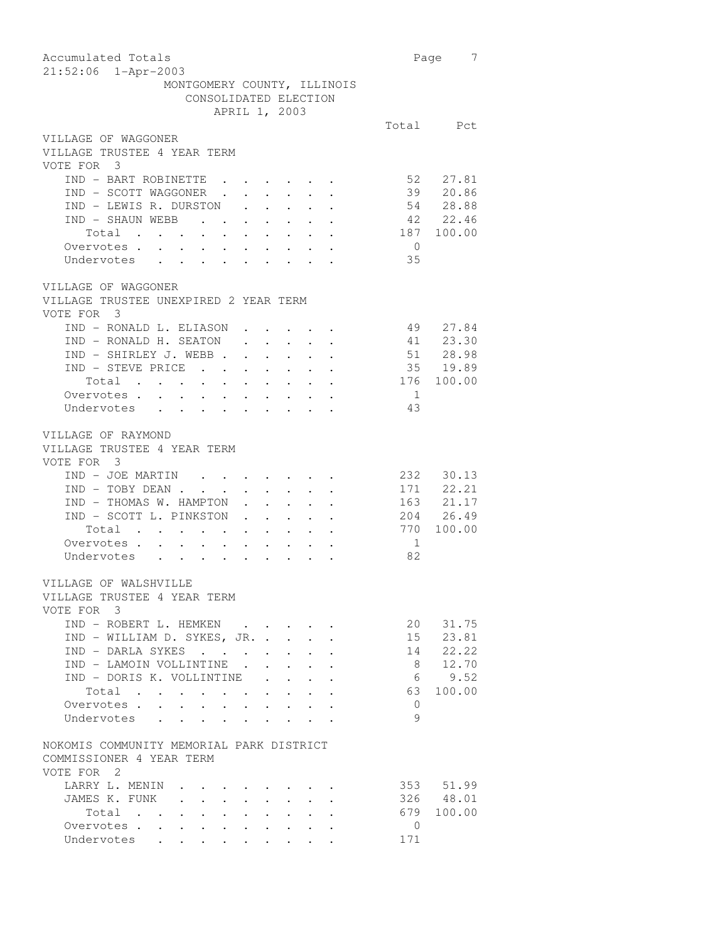| Accumulated Totals<br>21:52:06 1-Apr-2003                                                                                                                   |                | 7<br>Page            |
|-------------------------------------------------------------------------------------------------------------------------------------------------------------|----------------|----------------------|
| MONTGOMERY COUNTY, ILLINOIS                                                                                                                                 |                |                      |
| CONSOLIDATED ELECTION                                                                                                                                       |                |                      |
| APRIL 1, 2003                                                                                                                                               |                |                      |
|                                                                                                                                                             |                | Total Pct            |
| VILLAGE OF WAGGONER<br>VILLAGE TRUSTEE 4 YEAR TERM                                                                                                          |                |                      |
| VOTE FOR 3                                                                                                                                                  |                |                      |
| IND - BART ROBINETTE                                                                                                                                        |                | 52 27.81             |
| IND - SCOTT WAGGONER .<br>$\mathbf{r} = \mathbf{r} + \mathbf{r} + \mathbf{r} + \mathbf{r}$<br>$\sim 10^{-11}$                                               | 39             | 20.86                |
| IND - LEWIS R. DURSTON .<br>$\mathbf{r} = \mathbf{r} \times \mathbf{r}$ , where $\mathbf{r} = \mathbf{r} \times \mathbf{r}$                                 |                | 54 28.88             |
| IND - SHAUN WEBB                                                                                                                                            |                | 42 22.46             |
| Total                                                                                                                                                       | 187            | 100.00               |
| Overvotes .<br>$\ddot{\phantom{a}}$<br>$\ddot{\phantom{0}}$<br>$\mathbf{r} = \mathbf{r} + \mathbf{r} + \mathbf{r} + \mathbf{r}$<br>$\sim$ $-$               | $\overline{0}$ |                      |
| Undervotes                                                                                                                                                  | 35             |                      |
|                                                                                                                                                             |                |                      |
| VILLAGE OF WAGGONER<br>VILLAGE TRUSTEE UNEXPIRED 2 YEAR TERM                                                                                                |                |                      |
| VOTE FOR 3                                                                                                                                                  |                |                      |
| IND - RONALD L. ELIASON                                                                                                                                     |                | 49 27.84             |
| IND - RONALD H. SEATON<br>$\mathcal{L}^{\mathcal{A}}$ , and $\mathcal{L}^{\mathcal{A}}$ , and $\mathcal{L}^{\mathcal{A}}$ , and $\mathcal{L}^{\mathcal{A}}$ |                |                      |
| $IND - SHIRLEX J. WEBB.$<br>$\sim$ $-$<br>$\sim$ $-$<br>$\mathcal{A}^{\mathcal{A}}$ , and $\mathcal{A}^{\mathcal{A}}$ , and $\mathcal{A}^{\mathcal{A}}$     |                | 41 23.30<br>51 28.98 |
| IND - STEVE PRICE<br>$\mathbf{z} = \mathbf{z} + \mathbf{z}$<br>$\sim$                                                                                       |                | $35 \t 19.89$        |
| Total                                                                                                                                                       | 176            | 100.00               |
| Overvotes.                                                                                                                                                  | $\overline{1}$ |                      |
| Undervotes                                                                                                                                                  | 43             |                      |
|                                                                                                                                                             |                |                      |
|                                                                                                                                                             |                |                      |
| VILLAGE OF RAYMOND<br>VILLAGE TRUSTEE 4 YEAR TERM<br>VOTE FOR 3                                                                                             |                |                      |
| IND - JOE MARTIN<br>$\mathbf{r} = \mathbf{r} + \mathbf{r} + \mathbf{r} + \mathbf{r} + \mathbf{r} + \mathbf{r}$                                              |                | 232 30.13            |
| IND - TOBY DEAN.<br>$\mathbf{L}^{\text{max}}$ , and $\mathbf{L}^{\text{max}}$<br>$\mathbf{L}^{\text{max}}$<br>$\ddot{\phantom{0}}$                          |                | 171 22.21            |
| $\mathbf{L}^{\text{max}}$<br>IND - THOMAS W. HAMPTON<br>$\mathbf{r}$ .                                                                                      |                | 163 21.17            |
| IND - SCOTT L. PINKSTON                                                                                                                                     |                | 204 26.49            |
| Total                                                                                                                                                       |                | 770 100.00           |
| Overvotes                                                                                                                                                   | $\overline{1}$ |                      |
| Undervotes                                                                                                                                                  | 82             |                      |
|                                                                                                                                                             |                |                      |
| VILLAGE OF WALSHVILLE<br>VILLAGE TRUSTEE 4 YEAR TERM<br>VOTE FOR 3                                                                                          |                |                      |
| IND - ROBERT L. HEMKEN                                                                                                                                      | 20             | 31.75                |
| IND - WILLIAM D. SYKES, JR.                                                                                                                                 | 15             | 23.81                |
| IND - DARLA SYKES                                                                                                                                           | 14             | 22.22                |
| IND - LAMOIN VOLLINTINE.<br>$\mathbf{L} = \mathbf{L} \mathbf{L}$<br>$\sim$                                                                                  | 8              | 12.70                |
| IND - DORIS K. VOLLINTINE                                                                                                                                   | 6              | 9.52                 |
| Total                                                                                                                                                       | 63             | 100.00               |
| Overvotes .                                                                                                                                                 | $\mathbf{0}$   |                      |
| Undervotes                                                                                                                                                  | 9              |                      |
| $\ddot{\phantom{a}}$                                                                                                                                        |                |                      |
| NOKOMIS COMMUNITY MEMORIAL PARK DISTRICT<br>COMMISSIONER 4 YEAR TERM                                                                                        |                |                      |
| VOTE FOR 2                                                                                                                                                  |                |                      |
| LARRY L. MENIN                                                                                                                                              |                | 353 51.99            |
| JAMES K. FUNK<br>$\ddot{\phantom{0}}$<br>$\bullet$ .<br>$\ddot{\phantom{0}}$<br>$\ddot{\phantom{0}}$                                                        |                | 326 48.01            |
| Total<br>$\bullet$ .                                                                                                                                        | 679            | 100.00               |
| Overvotes                                                                                                                                                   | $\circ$        |                      |
| Undervotes                                                                                                                                                  | 171            |                      |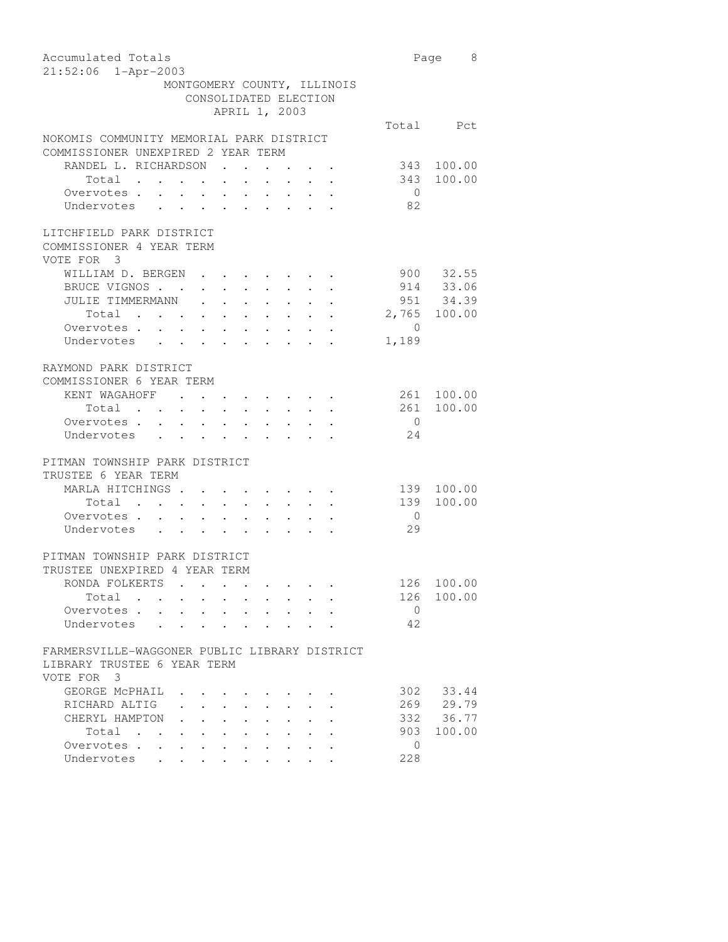| Accumulated Totals                                                                                            |                | Page 8       |
|---------------------------------------------------------------------------------------------------------------|----------------|--------------|
| 21:52:06 1-Apr-2003                                                                                           |                |              |
| MONTGOMERY COUNTY, ILLINOIS                                                                                   |                |              |
| CONSOLIDATED ELECTION                                                                                         |                |              |
| APRIL 1, 2003                                                                                                 |                |              |
|                                                                                                               |                | Total Pct    |
| NOKOMIS COMMUNITY MEMORIAL PARK DISTRICT                                                                      |                |              |
| COMMISSIONER UNEXPIRED 2 YEAR TERM                                                                            |                |              |
| RANDEL L. RICHARDSON.                                                                                         | 343            | 100.00       |
| Total                                                                                                         | 343            | 100.00       |
| Overvotes.                                                                                                    | $\overline{0}$ |              |
| Undervotes                                                                                                    | 82             |              |
|                                                                                                               |                |              |
| LITCHFIELD PARK DISTRICT                                                                                      |                |              |
| COMMISSIONER 4 YEAR TERM                                                                                      |                |              |
| VOTE FOR 3                                                                                                    |                |              |
| WILLIAM D. BERGEN<br>$\sim$ $\sim$ $\sim$ $\sim$                                                              |                | 900 32.55    |
| BRUCE VIGNOS                                                                                                  |                | 914 33.06    |
| JULIE TIMMERMANN<br>$\mathbf{r} = \mathbf{r} \cdot \mathbf{r}$<br>$\ddot{\phantom{a}}$<br>$\mathcal{L}^{(1)}$ |                | 951 34.39    |
| Total                                                                                                         |                | 2,765 100.00 |
| Overvotes.                                                                                                    | $\circ$        |              |
| Undervotes                                                                                                    | 1,189          |              |
|                                                                                                               |                |              |
| RAYMOND PARK DISTRICT                                                                                         |                |              |
| COMMISSIONER 6 YEAR TERM                                                                                      |                |              |
| KENT WAGAHOFF .                                                                                               |                | 261 100.00   |
| Total .                                                                                                       | 261            | 100.00       |
| $\mathbf{r} = \mathbf{r} \mathbf{r}$ .<br>$\sim 100$<br>$\bullet$ . $\bullet$                                 | $\overline{0}$ |              |
|                                                                                                               | 24             |              |
|                                                                                                               |                |              |
| PITMAN TOWNSHIP PARK DISTRICT                                                                                 |                |              |
| TRUSTEE 6 YEAR TERM                                                                                           |                |              |
|                                                                                                               |                |              |
| MARLA HITCHINGS                                                                                               | 139            | 100.00       |
| Total                                                                                                         | 139            | 100.00       |
| Overvotes .<br>$\mathbf{a} = \mathbf{a} + \mathbf{a} + \mathbf{a}$ , $\mathbf{a} = \mathbf{a}$<br>$\sim$      | $\overline{0}$ |              |
| Undervotes<br>$\mathbf{r}$ , $\mathbf{r}$ , $\mathbf{r}$ , $\mathbf{r}$<br>$\sim$ $\sim$                      | 29             |              |
|                                                                                                               |                |              |
| PITMAN TOWNSHIP PARK DISTRICT                                                                                 |                |              |
| TRUSTEE UNEXPIRED 4 YEAR TERM                                                                                 |                |              |
| RONDA FOLKERTS                                                                                                | 126            | 100.00       |
| Total                                                                                                         | 126            | 100.00       |
| Overvotes .                                                                                                   | $\Omega$       |              |
| Undervotes                                                                                                    | 42             |              |
|                                                                                                               |                |              |
| FARMERSVILLE-WAGGONER PUBLIC LIBRARY DISTRICT                                                                 |                |              |
| LIBRARY TRUSTEE 6 YEAR TERM                                                                                   |                |              |
| VOTE FOR<br>3                                                                                                 |                |              |
| GEORGE MCPHAIL                                                                                                | 302            | 33.44        |
| RICHARD ALTIG                                                                                                 | 269            | 29.79        |
| CHERYL HAMPTON                                                                                                | 332            | 36.77        |
| Total<br>$\bullet$ .<br><br><br><br><br><br><br><br><br><br><br><br><br>$\bullet$                             | 903            | 100.00       |
| Overvotes .                                                                                                   | 0              |              |
| Undervotes                                                                                                    | 228            |              |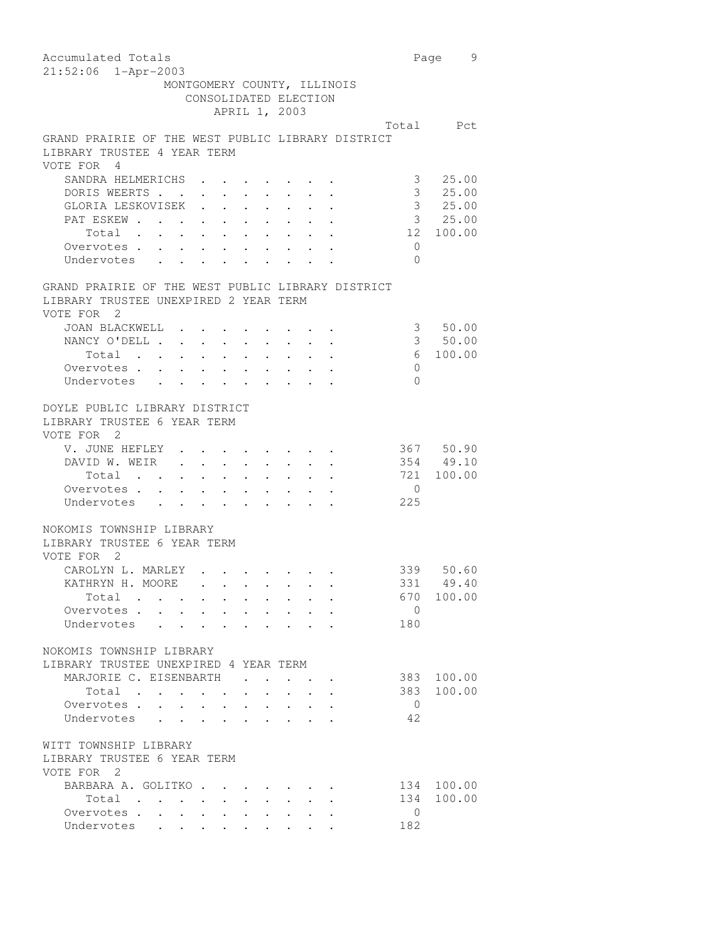| Accumulated Totals                                                                                                                                                                                                                      | Page           | 9          |
|-----------------------------------------------------------------------------------------------------------------------------------------------------------------------------------------------------------------------------------------|----------------|------------|
| 21:52:06 1-Apr-2003                                                                                                                                                                                                                     |                |            |
| MONTGOMERY COUNTY, ILLINOIS                                                                                                                                                                                                             |                |            |
| CONSOLIDATED ELECTION                                                                                                                                                                                                                   |                |            |
| APRIL 1, 2003                                                                                                                                                                                                                           |                |            |
|                                                                                                                                                                                                                                         |                | Total Pct  |
| GRAND PRAIRIE OF THE WEST PUBLIC LIBRARY DISTRICT<br>LIBRARY TRUSTEE 4 YEAR TERM                                                                                                                                                        |                |            |
| VOTE FOR 4                                                                                                                                                                                                                              |                |            |
| SANDRA HELMERICHS                                                                                                                                                                                                                       | 3              | 25.00      |
| DORIS WEERTS                                                                                                                                                                                                                            | 3 <sup>7</sup> | 25.00      |
| GLORIA LESKOVISEK<br>$\mathbf{L} = \mathbf{L}$<br>$\sim$ $\sim$                                                                                                                                                                         |                | 3, 25.00   |
| PAT ESKEW                                                                                                                                                                                                                               |                | 3 25.00    |
| Total                                                                                                                                                                                                                                   | 12             | 100.00     |
| Overvotes                                                                                                                                                                                                                               | 0              |            |
| Undervotes                                                                                                                                                                                                                              | $\Omega$       |            |
| GRAND PRAIRIE OF THE WEST PUBLIC LIBRARY DISTRICT                                                                                                                                                                                       |                |            |
| LIBRARY TRUSTEE UNEXPIRED 2 YEAR TERM<br>VOTE FOR 2                                                                                                                                                                                     |                |            |
| JOAN BLACKWELL                                                                                                                                                                                                                          |                | 3 50.00    |
| NANCY O'DELL                                                                                                                                                                                                                            |                | 3 50.00    |
| and the contract of the contract of the contract of the contract of the contract of the contract of the contract of the contract of the contract of the contract of the contract of the contract of the contract of the contra<br>Total | 6              | 100.00     |
| Overvotes                                                                                                                                                                                                                               | 0              |            |
| Undervotes                                                                                                                                                                                                                              | $\Omega$       |            |
| DOYLE PUBLIC LIBRARY DISTRICT                                                                                                                                                                                                           |                |            |
| LIBRARY TRUSTEE 6 YEAR TERM                                                                                                                                                                                                             |                |            |
| VOTE FOR 2                                                                                                                                                                                                                              |                |            |
| V. JUNE HEFLEY                                                                                                                                                                                                                          |                | 367 50.90  |
| DAVID W. WEIR                                                                                                                                                                                                                           |                | 354 49.10  |
| Total                                                                                                                                                                                                                                   | 721            | 100.00     |
| Overvotes                                                                                                                                                                                                                               | 0              |            |
| Undervotes                                                                                                                                                                                                                              | 225            |            |
| NOKOMIS TOWNSHIP LIBRARY                                                                                                                                                                                                                |                |            |
| LIBRARY TRUSTEE 6 YEAR TERM                                                                                                                                                                                                             |                |            |
| VOTE FOR 2                                                                                                                                                                                                                              |                |            |
| CAROLYN L. MARLEY                                                                                                                                                                                                                       |                | 339 50.60  |
| KATHRYN H. MOORE                                                                                                                                                                                                                        |                | 331 49.40  |
| Total                                                                                                                                                                                                                                   |                | 670 100.00 |
| Overvotes                                                                                                                                                                                                                               | $\overline{0}$ |            |
| Undervotes                                                                                                                                                                                                                              | 180            |            |
|                                                                                                                                                                                                                                         |                |            |
| NOKOMIS TOWNSHIP LIBRARY                                                                                                                                                                                                                |                |            |
| LIBRARY TRUSTEE UNEXPIRED 4 YEAR TERM                                                                                                                                                                                                   |                |            |
| MARJORIE C. EISENBARTH                                                                                                                                                                                                                  | 383            | 100.00     |
| Total<br>$\sim$<br>$\ddot{\phantom{0}}$<br>$\ddot{\phantom{0}}$<br>$\sim$ $\sim$                                                                                                                                                        | 383            | 100.00     |
| Overvotes.                                                                                                                                                                                                                              | $\overline{0}$ |            |
| Undervotes                                                                                                                                                                                                                              | 42             |            |
| WITT TOWNSHIP LIBRARY                                                                                                                                                                                                                   |                |            |
| LIBRARY TRUSTEE 6 YEAR TERM                                                                                                                                                                                                             |                |            |
| VOTE FOR 2                                                                                                                                                                                                                              |                |            |
| BARBARA A. GOLITKO.<br>$\sim$ $-$                                                                                                                                                                                                       |                | 134 100.00 |
| Total<br>$\sim$ $\sim$<br>$\ddot{\phantom{0}}$<br>$\sim$<br>$\sim$                                                                                                                                                                      | 134            | 100.00     |
| Overvotes.                                                                                                                                                                                                                              | 0              |            |
| Undervotes                                                                                                                                                                                                                              | 182            |            |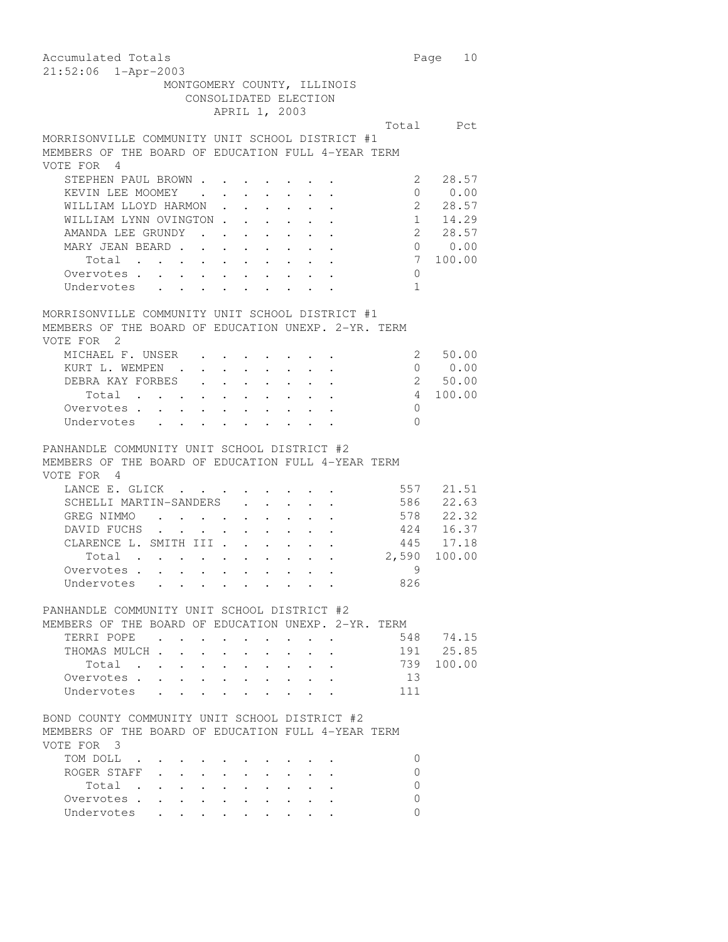| Accumulated Totals                                                                                                                                                                                                                                 |                | Page<br>10 |
|----------------------------------------------------------------------------------------------------------------------------------------------------------------------------------------------------------------------------------------------------|----------------|------------|
| 21:52:06 1-Apr-2003                                                                                                                                                                                                                                |                |            |
| MONTGOMERY COUNTY, ILLINOIS                                                                                                                                                                                                                        |                |            |
| CONSOLIDATED ELECTION                                                                                                                                                                                                                              |                |            |
| APRIL 1, 2003                                                                                                                                                                                                                                      |                |            |
|                                                                                                                                                                                                                                                    |                | Total Pct  |
| MORRISONVILLE COMMUNITY UNIT SCHOOL DISTRICT #1                                                                                                                                                                                                    |                |            |
| MEMBERS OF THE BOARD OF EDUCATION FULL 4-YEAR TERM                                                                                                                                                                                                 |                |            |
| VOTE FOR 4                                                                                                                                                                                                                                         |                |            |
| STEPHEN PAUL BROWN.                                                                                                                                                                                                                                | 2              | 28.57      |
| $\mathbf{r}$ , $\mathbf{r}$ , $\mathbf{r}$ , $\mathbf{r}$ , $\mathbf{r}$<br>KEVIN LEE MOOMEY                                                                                                                                                       | $\Omega$       | 0.00       |
| WILLIAM LLOYD HARMON<br>$\ddot{\phantom{a}}$                                                                                                                                                                                                       | $2^{\circ}$    | 28.57      |
| WILLIAM LYNN OVINGTON                                                                                                                                                                                                                              | $1 \quad$      | 14.29      |
| AMANDA LEE GRUNDY<br>. The contract of the contract of the contract of the contract of the contract of the contract of the contract of the contract of the contract of the contract of the contract of the contract of the contract of the contrac | $\overline{2}$ | 28.57      |
| MARY JEAN BEARD                                                                                                                                                                                                                                    |                | 0 0.00     |
| Total                                                                                                                                                                                                                                              | 7              | 100.00     |
| Overvotes .<br>$\mathcal{A}=\mathcal{A}=\mathcal{A}=\mathcal{A}=\mathcal{A}=\mathcal{A}=\mathcal{A}=\mathcal{A}$                                                                                                                                   | 0              |            |
| Undervotes<br>$\sim$ $-$                                                                                                                                                                                                                           | $\mathbf{1}$   |            |
|                                                                                                                                                                                                                                                    |                |            |
| MORRISONVILLE COMMUNITY UNIT SCHOOL DISTRICT #1                                                                                                                                                                                                    |                |            |
| MEMBERS OF THE BOARD OF EDUCATION UNEXP. 2-YR. TERM                                                                                                                                                                                                |                |            |
| VOTE FOR 2                                                                                                                                                                                                                                         |                |            |
| MICHAEL F. UNSER                                                                                                                                                                                                                                   | 2              | 50.00      |
| KURT L. WEMPEN .<br>$\mathbf{r} = \mathbf{r} + \mathbf{r}$ , where $\mathbf{r} = \mathbf{r} + \mathbf{r}$ , where $\mathbf{r} = \mathbf{r}$                                                                                                        | $\overline{0}$ | 0.00       |
| DEBRA KAY FORBES .<br>$\mathbf{r} = \mathbf{r} + \mathbf{r} + \mathbf{r} + \mathbf{r} + \mathbf{r}$                                                                                                                                                |                | 2 50.00    |
| Total $\cdots$ $\cdots$<br>$\bullet$ , $\bullet$ , $\bullet$                                                                                                                                                                                       | 4              | 100.00     |
| Overvotes .<br>$\sim$<br>$\sim$<br>$\sim$ 100 $\pm$                                                                                                                                                                                                | 0              |            |
| Undervotes<br>$\mathbf{r} = \mathbf{r} \cdot \mathbf{r}$ , where $\mathbf{r} = \mathbf{r} \cdot \mathbf{r}$<br>$\cdot$ $\cdot$ $\cdot$ $\cdot$ $\cdot$                                                                                             | $\Omega$       |            |
| PANHANDLE COMMUNITY UNIT SCHOOL DISTRICT #2<br>MEMBERS OF THE BOARD OF EDUCATION FULL 4-YEAR TERM<br>VOTE FOR 4                                                                                                                                    |                |            |
| LANCE E. GLICK                                                                                                                                                                                                                                     | 557            | 21.51      |
| SCHELLI MARTIN-SANDERS<br>$\mathbf{r} = \mathbf{r} + \mathbf{r} + \mathbf{r} + \mathbf{r} + \mathbf{r}$                                                                                                                                            | 586            | 22.63      |
| GREG NIMMO<br>$\mathcal{A}^{\mathcal{A}}$ , and $\mathcal{A}^{\mathcal{A}}$ , and $\mathcal{A}^{\mathcal{A}}$ , and $\mathcal{A}^{\mathcal{A}}$ , and $\mathcal{A}^{\mathcal{A}}$                                                                  | 578            | 22.32      |
| DAVID FUCHS<br>$\mathbf{r}$ , $\mathbf{r}$<br>$\sim$ $\sim$<br>$\bullet$ .<br>$\bullet$ . In the $\bullet$ , $\bullet$<br>$\bullet$ . $\bullet$                                                                                                    | 424            | 16.37      |
| CLARENCE L. SMITH III                                                                                                                                                                                                                              | 445            | 17.18      |
| . The second contract is a second contract of the second contract $\mathcal{L}_\text{c}$<br>Total                                                                                                                                                  | 2,590          | 100.00     |
| Overvotes.                                                                                                                                                                                                                                         | 9              |            |
| Undervotes                                                                                                                                                                                                                                         | 826            |            |
|                                                                                                                                                                                                                                                    |                |            |
| PANHANDLE COMMUNITY UNIT SCHOOL DISTRICT #2                                                                                                                                                                                                        |                |            |
| MEMBERS OF THE BOARD OF EDUCATION UNEXP. 2-YR. TERM                                                                                                                                                                                                |                |            |
| TERRI POPE<br>$\sim$ $\sim$                                                                                                                                                                                                                        | 548            | 74.15      |
| THOMAS MULCH.                                                                                                                                                                                                                                      | 191            | 25.85      |
| Total<br><b><i>Contract Contract</i></b><br>$\ddot{\phantom{0}}$<br>$\ddot{\phantom{a}}$                                                                                                                                                           | 739            | 100.00     |
| Overvotes                                                                                                                                                                                                                                          | 13             |            |
| Undervotes                                                                                                                                                                                                                                         | 111            |            |
|                                                                                                                                                                                                                                                    |                |            |
| BOND COUNTY COMMUNITY UNIT SCHOOL DISTRICT #2                                                                                                                                                                                                      |                |            |
| MEMBERS OF THE BOARD OF EDUCATION FULL 4-YEAR TERM                                                                                                                                                                                                 |                |            |
| VOTE FOR 3                                                                                                                                                                                                                                         |                |            |
| TOM DOLL                                                                                                                                                                                                                                           | 0              |            |
| ROGER STAFF                                                                                                                                                                                                                                        | 0              |            |
| Total<br>$\sim$<br>$\mathbf{L}$<br>$\cdot$                                                                                                                                                                                                         | 0              |            |
| Overvotes                                                                                                                                                                                                                                          | $\Omega$       |            |
| Undervotes<br>$\sim$ $\sim$ $\sim$ $\sim$<br>$\sim$ $\sim$                                                                                                                                                                                         | 0              |            |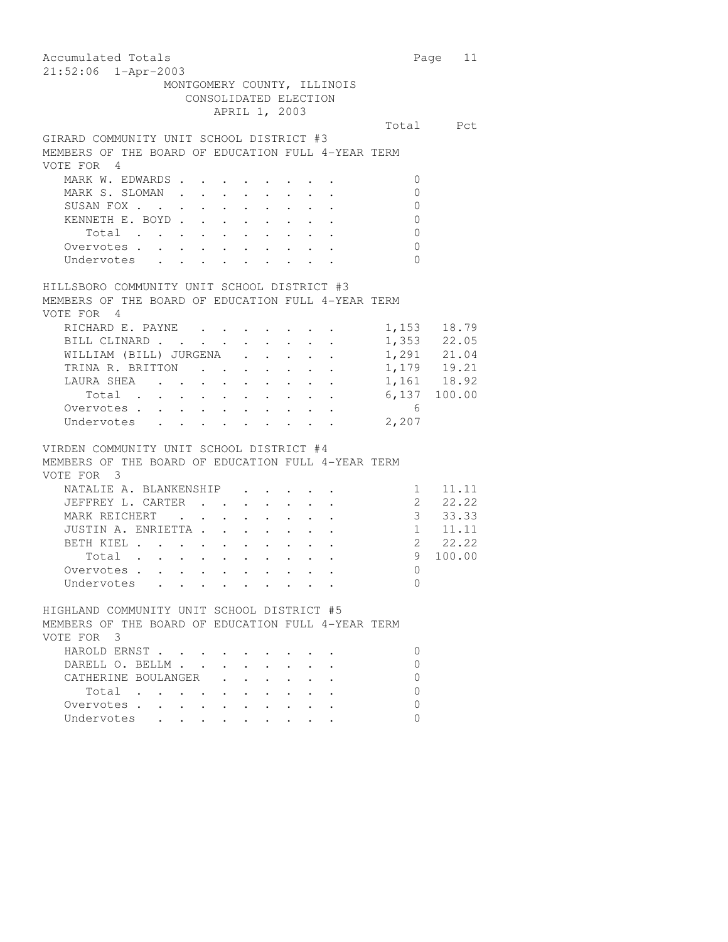Accumulated Totals **Page 11** 21:52:06 1-Apr-2003 MONTGOMERY COUNTY, ILLINOIS CONSOLIDATED ELECTION APRIL 1, 2003 Total Pct GIRARD COMMUNITY UNIT SCHOOL DISTRICT #3 MEMBERS OF THE BOARD OF EDUCATION FULL 4-YEAR TERM VOTE FOR 4 MARK W. EDWARDS . . . . . . . . 0 MARK S. SLOMAN . . . . . . . . 0 SUSAN FOX . . . . . . . . . . 0 KENNETH E. BOYD . . . . . . . . 0 Total . . . . . . . . . . 0<br>ervotes . . . . . . . . . . . . 0 Overvotes . . . . . . . . . . Undervotes . . . . . . . . 0 HILLSBORO COMMUNITY UNIT SCHOOL DISTRICT #3 MEMBERS OF THE BOARD OF EDUCATION FULL 4-YEAR TERM VOTE FOR 4 RICHARD E. PAYNE . . . . . . . . 1,153 18.79<br>BILL CLINARD . . . . . . . . . 1,353 22.05 BILL CLINARD . . . . . . . . . WILLIAM (BILL) JURGENA . . . . 1,291 21.04 TRINA R. BRITTON . . . . . . . 1,179 19.21 LAURA SHEA . . . . . . . . . 1,161 18.92 Total . . . . . . . . . . 6,137 100.00 Overvotes . . . . . . . . . . . 6 Undervotes . . . . . . . . . 2,207 VIRDEN COMMUNITY UNIT SCHOOL DISTRICT #4 MEMBERS OF THE BOARD OF EDUCATION FULL 4-YEAR TERM VOTE FOR 3 NATALIE A. BLANKENSHIP . . . . . 1 11.11 JEFFREY L. CARTER . . . . . . . 2 22.22 MARK REICHERT . . . . . . . . 3 33.33 JUSTIN A. ENRIETTA . . . . . . . 1 11.11 BETH KIEL . . . . . . . . . . 2 22.22 Total . . . . . . . . . . 9 100.00 Overvotes . . . . . . . . . . 0 Undervotes . . . . . . . . . 0 HIGHLAND COMMUNITY UNIT SCHOOL DISTRICT #5 MEMBERS OF THE BOARD OF EDUCATION FULL 4-YEAR TERM VOTE FOR 3 HAROLD ERNST . . . . . . . . . 0 DARELL O. BELLM . . . . . . . . 0 CATHERINE BOULANGER . . . . . . 0  $\text{Total} \quad . \quad . \quad . \quad . \quad . \quad . \quad . \qquad . \qquad 0$ Overvotes . . . . . . . . . . 0 Undervotes . . . . . . . . . 0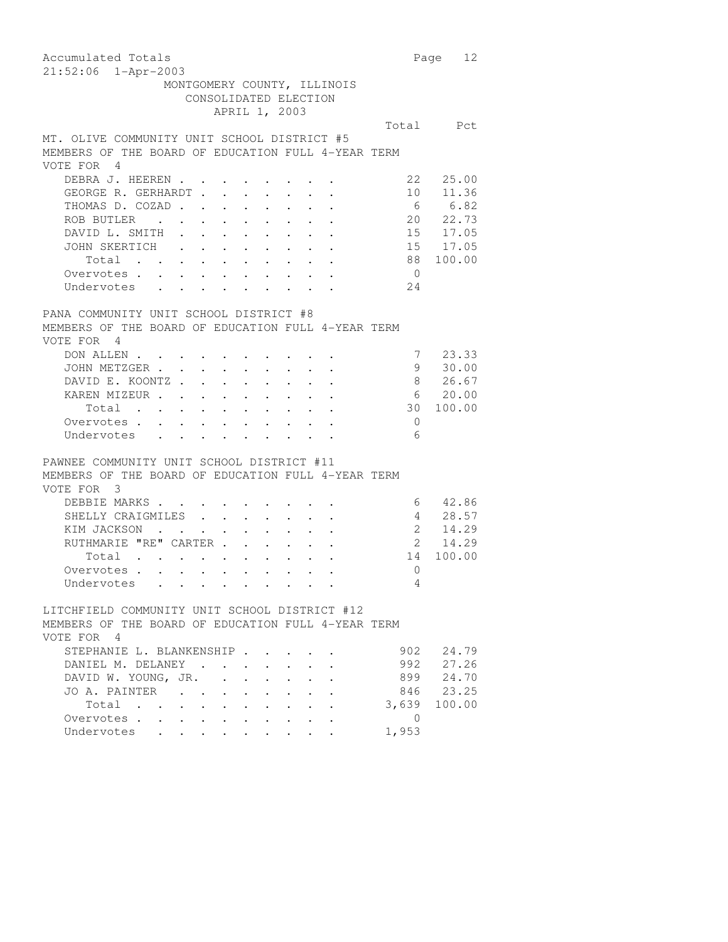| Accumulated Totals                                                                                                                                                                                                                               |                      | 12<br>Page              |
|--------------------------------------------------------------------------------------------------------------------------------------------------------------------------------------------------------------------------------------------------|----------------------|-------------------------|
| 21:52:06 1-Apr-2003                                                                                                                                                                                                                              |                      |                         |
| MONTGOMERY COUNTY, ILLINOIS                                                                                                                                                                                                                      |                      |                         |
| CONSOLIDATED ELECTION                                                                                                                                                                                                                            |                      |                         |
| APRIL 1, 2003                                                                                                                                                                                                                                    |                      |                         |
|                                                                                                                                                                                                                                                  |                      | Total Pct               |
| MT. OLIVE COMMUNITY UNIT SCHOOL DISTRICT #5                                                                                                                                                                                                      |                      |                         |
| MEMBERS OF THE BOARD OF EDUCATION FULL 4-YEAR TERM                                                                                                                                                                                               |                      |                         |
| VOTE FOR 4                                                                                                                                                                                                                                       |                      |                         |
| DEBRA J. HEEREN                                                                                                                                                                                                                                  |                      | 22<br>25.00             |
| GEORGE R. GERHARDT                                                                                                                                                                                                                               | $\ddot{\phantom{a}}$ | 10<br>11.36             |
| THOMAS D. COZAD                                                                                                                                                                                                                                  |                      | 6 6.82                  |
| ROB BUTLER                                                                                                                                                                                                                                       |                      | 20 22.73                |
|                                                                                                                                                                                                                                                  |                      |                         |
| DAVID L. SMITH                                                                                                                                                                                                                                   |                      | 15 17.05                |
| JOHN SKERTICH                                                                                                                                                                                                                                    |                      | 15 17.05                |
| Total                                                                                                                                                                                                                                            |                      | 88<br>100.00            |
| Overvotes .<br>$\mathbf{u}^{\prime}$ , and $\mathbf{u}^{\prime}$ , and $\mathbf{u}^{\prime}$ , and $\mathbf{u}^{\prime}$ , and $\mathbf{u}^{\prime}$ , and<br>$\sim$ $-$                                                                         |                      | $\overline{0}$          |
| Undervotes<br>$\mathbf{r}$ , and $\mathbf{r}$ , and $\mathbf{r}$ , and $\mathbf{r}$ , and $\mathbf{r}$                                                                                                                                           |                      | 24                      |
|                                                                                                                                                                                                                                                  |                      |                         |
| PANA COMMUNITY UNIT SCHOOL DISTRICT #8                                                                                                                                                                                                           |                      |                         |
| MEMBERS OF THE BOARD OF EDUCATION FULL 4-YEAR TERM                                                                                                                                                                                               |                      |                         |
| VOTE FOR 4                                                                                                                                                                                                                                       |                      |                         |
| DON ALLEN                                                                                                                                                                                                                                        |                      | 23.33<br>7              |
| JOHN METZGER                                                                                                                                                                                                                                     |                      | 30.00<br>9              |
| DAVID E. KOONTZ                                                                                                                                                                                                                                  |                      | 26.67<br>8              |
| KAREN MIZEUR                                                                                                                                                                                                                                     |                      | 20.00<br>6              |
| Total<br>$\mathcal{A}^{\mathcal{A}}$ , and $\mathcal{A}^{\mathcal{A}}$ , and $\mathcal{A}^{\mathcal{A}}$ , and $\mathcal{A}^{\mathcal{A}}$<br>$\sim$ $-$                                                                                         |                      | 100.00<br>30            |
| $\mathbf{L}^{\text{max}}$<br>Overvotes .<br>$\mathcal{L}^{\text{max}}$ , $\mathcal{L}^{\text{max}}$<br>$\mathbf{A}$ and $\mathbf{A}$ and $\mathbf{A}$<br>$\sim$                                                                                  |                      | $\overline{0}$          |
| Undervotes                                                                                                                                                                                                                                       |                      | 6                       |
|                                                                                                                                                                                                                                                  |                      |                         |
| PAWNEE COMMUNITY UNIT SCHOOL DISTRICT #11                                                                                                                                                                                                        |                      |                         |
| MEMBERS OF THE BOARD OF EDUCATION FULL 4-YEAR TERM                                                                                                                                                                                               |                      |                         |
| VOTE FOR 3                                                                                                                                                                                                                                       |                      |                         |
| DEBBIE MARKS                                                                                                                                                                                                                                     |                      | 42.86<br>6              |
|                                                                                                                                                                                                                                                  |                      | 28.57<br>4              |
| SHELLY CRAIGMILES<br>$\mathbf{A}^{\text{max}}$ , and $\mathbf{A}^{\text{max}}$                                                                                                                                                                   |                      | $\overline{a}$          |
| KIM JACKSON<br>$\mathbf{r}$ , $\mathbf{r}$ , $\mathbf{r}$<br>$\sim$<br>$\bullet$ . $\bullet$                                                                                                                                                     |                      | 14.29<br>$\overline{2}$ |
| RUTHMARIE "RE" CARTER                                                                                                                                                                                                                            |                      | 14.29                   |
| and the contract of the contract of the contract of the contract of the contract of the contract of the contract of the contract of the contract of the contract of the contract of the contract of the contract of the contra<br>Total          |                      | 14<br>100.00            |
| Overvotes                                                                                                                                                                                                                                        |                      | $\mathbf{0}$            |
| Undervotes                                                                                                                                                                                                                                       |                      | 4                       |
|                                                                                                                                                                                                                                                  |                      |                         |
| LITCHFIELD COMMUNITY UNIT SCHOOL DISTRICT #12                                                                                                                                                                                                    |                      |                         |
| MEMBERS OF THE BOARD OF EDUCATION FULL 4-YEAR TERM                                                                                                                                                                                               |                      |                         |
| VOTE FOR 4                                                                                                                                                                                                                                       |                      |                         |
| STEPHANIE L. BLANKENSHIP .                                                                                                                                                                                                                       |                      | 902<br>24.79            |
| DANIEL M. DELANEY.<br>$\cdot$<br>$\ddot{\phantom{a}}$<br>$\ddot{\phantom{a}}$                                                                                                                                                                    |                      | 992<br>27.26            |
| DAVID W. YOUNG, JR.                                                                                                                                                                                                                              |                      | 899<br>24.70            |
| JO A. PAINTER<br>$\ddot{\phantom{0}}$                                                                                                                                                                                                            |                      | 846 23.25               |
| Total<br>$\ddot{\phantom{0}}$                                                                                                                                                                                                                    |                      | 3,639 100.00            |
| Overvotes<br>$\bullet$ .<br><br><br><br><br><br><br><br><br><br><br><br><br><br><br><br><br><br><br><br><br><br><br><br><br><br><br><br><br><br><br><br><br><br><br><br>$\bullet$<br>$\bullet$ .<br><br><br><br><br><br><br><br><br><br><br><br> |                      | $\overline{0}$          |
| Undervotes .<br>$\ddot{\phantom{0}}$<br>$\ddot{\phantom{0}}$                                                                                                                                                                                     |                      | 1,953                   |
|                                                                                                                                                                                                                                                  |                      |                         |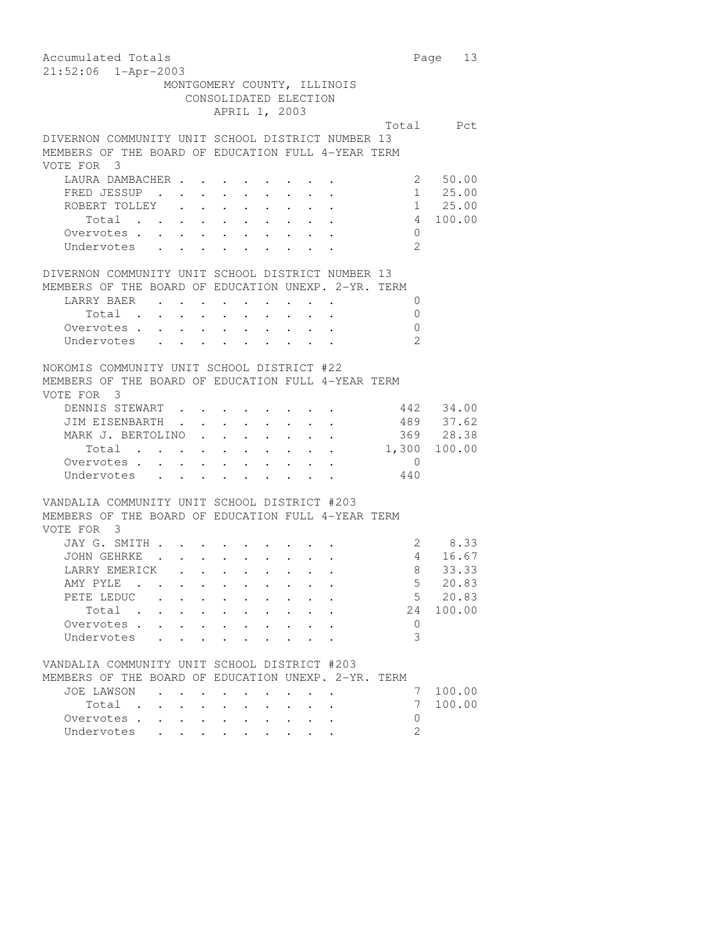| Accumulated Totals                                                                                                                                                                                                                               |                     | 13<br>Page |
|--------------------------------------------------------------------------------------------------------------------------------------------------------------------------------------------------------------------------------------------------|---------------------|------------|
| 21:52:06 1-Apr-2003                                                                                                                                                                                                                              |                     |            |
| MONTGOMERY COUNTY, ILLINOIS                                                                                                                                                                                                                      |                     |            |
| CONSOLIDATED ELECTION                                                                                                                                                                                                                            |                     |            |
| APRIL 1, 2003                                                                                                                                                                                                                                    |                     |            |
|                                                                                                                                                                                                                                                  |                     | Total Pct  |
| DIVERNON COMMUNITY UNIT SCHOOL DISTRICT NUMBER 13                                                                                                                                                                                                |                     |            |
| MEMBERS OF THE BOARD OF EDUCATION FULL 4-YEAR TERM                                                                                                                                                                                               |                     |            |
| VOTE FOR 3                                                                                                                                                                                                                                       |                     |            |
| LAURA DAMBACHER                                                                                                                                                                                                                                  | 2                   | 50.00      |
| FRED JESSUP<br>$\mathbf{L}$ and $\mathbf{L}$<br>$\cdot$ $\cdot$ $\cdot$ $\cdot$ $\cdot$                                                                                                                                                          |                     | 1 25.00    |
| ROBERT TOLLEY                                                                                                                                                                                                                                    |                     | 1 25.00    |
| Total                                                                                                                                                                                                                                            | $\overline{4}$      | 100.00     |
| Overvotes                                                                                                                                                                                                                                        | $\Omega$            |            |
| Undervotes                                                                                                                                                                                                                                       | $\mathcal{L}$       |            |
|                                                                                                                                                                                                                                                  |                     |            |
| DIVERNON COMMUNITY UNIT SCHOOL DISTRICT NUMBER 13                                                                                                                                                                                                |                     |            |
| MEMBERS OF THE BOARD OF EDUCATION UNEXP. 2-YR. TERM                                                                                                                                                                                              |                     |            |
| LARRY BAER                                                                                                                                                                                                                                       | 0                   |            |
| $\sim$ 100 $\pm$<br>$\ddot{\phantom{0}}$<br>$\sim$ $-$<br>$\mathbf{r}$ and $\mathbf{r}$ and $\mathbf{r}$                                                                                                                                         | $\Omega$            |            |
| Total .<br>$\mathbf{L}^{\text{max}}$ , and $\mathbf{L}^{\text{max}}$<br>$\mathbf{a}$ , and $\mathbf{a}$                                                                                                                                          |                     |            |
| Overvotes.                                                                                                                                                                                                                                       | 0<br>$\mathfrak{D}$ |            |
| Undervotes                                                                                                                                                                                                                                       |                     |            |
|                                                                                                                                                                                                                                                  |                     |            |
| NOKOMIS COMMUNITY UNIT SCHOOL DISTRICT #22                                                                                                                                                                                                       |                     |            |
| MEMBERS OF THE BOARD OF EDUCATION FULL 4-YEAR TERM                                                                                                                                                                                               |                     |            |
| VOTE FOR 3                                                                                                                                                                                                                                       |                     |            |
| DENNIS STEWART.                                                                                                                                                                                                                                  |                     | 442 34.00  |
| JIM EISENBARTH<br>$\sim 10^{-1}$                                                                                                                                                                                                                 |                     | 489 37.62  |
| MARK J. BERTOLINO<br>$\mathbf{r}$ and $\mathbf{r}$ and $\mathbf{r}$ and $\mathbf{r}$                                                                                                                                                             |                     | 369 28.38  |
| Total $\cdot$                                                                                                                                                                                                                                    | 1,300               | 100.00     |
| Overvotes                                                                                                                                                                                                                                        | 0                   |            |
| Undervotes                                                                                                                                                                                                                                       | 440                 |            |
|                                                                                                                                                                                                                                                  |                     |            |
| VANDALIA COMMUNITY UNIT SCHOOL DISTRICT #203                                                                                                                                                                                                     |                     |            |
| MEMBERS OF THE BOARD OF EDUCATION FULL 4-YEAR TERM                                                                                                                                                                                               |                     |            |
| VOTE FOR 3                                                                                                                                                                                                                                       |                     |            |
| JAY G. SMITH                                                                                                                                                                                                                                     |                     | 2 8.33     |
| $\mathbf{r}$ . The set of the set of the set of the set of the set of the set of the set of the set of the set of the set of the set of the set of the set of the set of the set of the set of the set of the set of the set of t<br>JOHN GEHRKE | $4\overline{ }$     | 16.67      |
| LARRY EMERICK                                                                                                                                                                                                                                    | 8                   | 33.33      |
| AMY PYLE                                                                                                                                                                                                                                         | $\mathsf S$         | 20.83      |
| PETE LEDUC                                                                                                                                                                                                                                       | 5                   | 20.83      |
| Total                                                                                                                                                                                                                                            | 24                  | 100.00     |
| Overvotes .                                                                                                                                                                                                                                      | 0                   |            |
| Undervotes                                                                                                                                                                                                                                       | 3                   |            |
|                                                                                                                                                                                                                                                  |                     |            |
| VANDALIA COMMUNITY UNIT SCHOOL DISTRICT #203                                                                                                                                                                                                     |                     |            |
| MEMBERS OF THE BOARD OF EDUCATION UNEXP. 2-YR. TERM                                                                                                                                                                                              |                     |            |
| JOE LAWSON<br>$\mathbf{r}$ . The set of $\mathbf{r}$                                                                                                                                                                                             | 7                   | 100.00     |
| Total<br>$\sim$<br>$\bullet$ .<br><br><br><br><br><br><br><br><br><br><br><br><br><br>$\bullet$ .<br><br><br><br><br><br><br><br><br><br><br><br>                                                                                                | 7                   | 100.00     |
| Overvotes .<br>$\ddot{\phantom{0}}$                                                                                                                                                                                                              | 0                   |            |
| Undervotes                                                                                                                                                                                                                                       | $\overline{2}$      |            |
|                                                                                                                                                                                                                                                  |                     |            |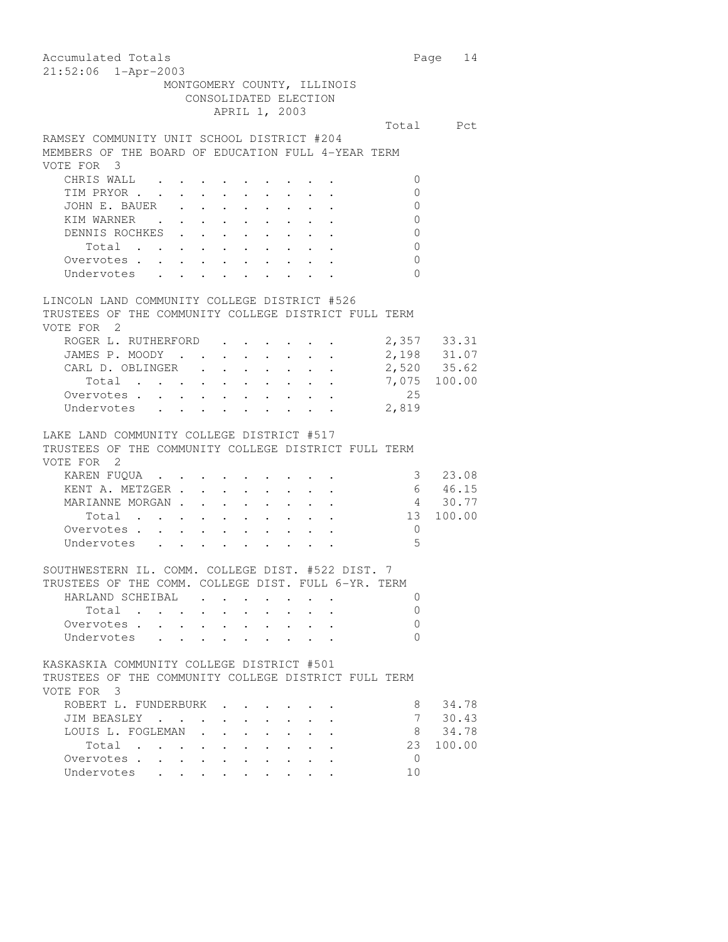| Accumulated Totals<br>21:52:06 1-Apr-2003                                       |                                                                                         |                                                               |        |                | Page 14                    |  |  |  |
|---------------------------------------------------------------------------------|-----------------------------------------------------------------------------------------|---------------------------------------------------------------|--------|----------------|----------------------------|--|--|--|
| MONTGOMERY COUNTY, ILLINOIS<br>CONSOLIDATED ELECTION                            |                                                                                         |                                                               |        |                |                            |  |  |  |
|                                                                                 | APRIL 1, 2003                                                                           |                                                               |        |                |                            |  |  |  |
|                                                                                 |                                                                                         |                                                               |        |                | Total Pct                  |  |  |  |
| RAMSEY COMMUNITY UNIT SCHOOL DISTRICT #204                                      |                                                                                         |                                                               |        |                |                            |  |  |  |
| MEMBERS OF THE BOARD OF EDUCATION FULL 4-YEAR TERM                              |                                                                                         |                                                               |        |                |                            |  |  |  |
| VOTE FOR 3                                                                      |                                                                                         |                                                               |        |                |                            |  |  |  |
| CHRIS WALL                                                                      |                                                                                         |                                                               |        |                | 0                          |  |  |  |
| TIM PRYOR                                                                       |                                                                                         |                                                               |        |                | $\mathbf 0$                |  |  |  |
| JOHN E. BAUER                                                                   | $\begin{array}{cccccccccccccc} . & . & . & . & . & . & . & . & . \end{array}$           |                                                               |        |                | $\mathbf 0$                |  |  |  |
|                                                                                 |                                                                                         |                                                               |        |                | $\overline{0}$             |  |  |  |
| DENNIS ROCHKES                                                                  |                                                                                         | $\mathbf{L}^{\text{max}}$ , and $\mathbf{L}^{\text{max}}$     |        |                | 0                          |  |  |  |
| Total                                                                           |                                                                                         | $\mathbf{r} = \mathbf{r} + \mathbf{r}$ , where                |        | $\overline{0}$ |                            |  |  |  |
| Total<br>Overvotes                                                              | $\sim$                                                                                  | <b>Contract Contract</b>                                      |        |                | 0                          |  |  |  |
| Undervotes                                                                      |                                                                                         |                                                               |        |                | $\Omega$                   |  |  |  |
|                                                                                 |                                                                                         |                                                               |        |                |                            |  |  |  |
| LINCOLN LAND COMMUNITY COLLEGE DISTRICT #526                                    |                                                                                         |                                                               |        |                |                            |  |  |  |
| TRUSTEES OF THE COMMUNITY COLLEGE DISTRICT FULL TERM                            |                                                                                         |                                                               |        |                |                            |  |  |  |
| VOTE FOR 2                                                                      |                                                                                         |                                                               |        |                |                            |  |  |  |
| ROGER L. RUTHERFORD                                                             |                                                                                         |                                                               |        |                | 2,357 33.31                |  |  |  |
| JAMES P. MOODY                                                                  |                                                                                         |                                                               |        |                | 2,198 31.07<br>2,520 35.62 |  |  |  |
| CARL D. OBLINGER<br>$\sim$ $-$                                                  | $\mathcal{L}^{\text{max}}$                                                              | $\mathbf{1}^{\prime}$ and $\mathbf{1}^{\prime}$<br>$\sim$     |        |                |                            |  |  |  |
| Total                                                                           | $\mathcal{A}=\mathcal{A}=\mathcal{A}=\mathcal{A}=\mathcal{A}=\mathcal{A}=\mathcal{A}$ . |                                                               |        |                | 7,075 100.00               |  |  |  |
| Overvotes.                                                                      |                                                                                         |                                                               |        | 25             |                            |  |  |  |
| Undervotes                                                                      |                                                                                         |                                                               |        | 2,819          |                            |  |  |  |
|                                                                                 |                                                                                         |                                                               |        |                |                            |  |  |  |
| LAKE LAND COMMUNITY COLLEGE DISTRICT #517                                       |                                                                                         |                                                               |        |                |                            |  |  |  |
| TRUSTEES OF THE COMMUNITY COLLEGE DISTRICT FULL TERM                            |                                                                                         |                                                               |        |                |                            |  |  |  |
| VOTE FOR 2                                                                      |                                                                                         |                                                               |        |                |                            |  |  |  |
| KAREN FUQUA                                                                     |                                                                                         |                                                               |        |                | 3 23.08                    |  |  |  |
| KENT A. METZGER .<br>$\sim$ $-$                                                 | $\sim 10^{-11}$<br>$\ddot{\phantom{0}}$                                                 | $\sim$ $-$<br>$\sim$                                          |        |                | 6 46.15                    |  |  |  |
| MARIANNE MORGAN                                                                 | $\mathcal{L}^{\mathcal{L}}$                                                             | $\mathcal{A}^{\mathcal{A}}$ and $\mathcal{A}^{\mathcal{A}}$ . |        |                | 4 30.77                    |  |  |  |
| $Total \quad . \quad . \quad . \quad . \quad . \quad . \quad . \quad . \quad .$ |                                                                                         |                                                               |        | 13             | 100.00                     |  |  |  |
| Overvotes                                                                       |                                                                                         |                                                               |        | $\overline{0}$ |                            |  |  |  |
|                                                                                 |                                                                                         |                                                               |        |                | $\overline{5}$             |  |  |  |
| Undervotes                                                                      |                                                                                         |                                                               |        |                |                            |  |  |  |
| SOUTHWESTERN IL. COMM. COLLEGE DIST. #522 DIST. 7                               |                                                                                         |                                                               |        |                |                            |  |  |  |
| TRUSTEES OF THE COMM. COLLEGE DIST. FULL 6-YR. TERM                             |                                                                                         |                                                               |        |                |                            |  |  |  |
| HARLAND SCHEIBAL                                                                |                                                                                         |                                                               |        |                | 0                          |  |  |  |
| Total .                                                                         |                                                                                         |                                                               |        |                | 0                          |  |  |  |
| $\bullet$                                                                       |                                                                                         |                                                               |        |                | 0                          |  |  |  |
| Overvotes                                                                       |                                                                                         |                                                               |        |                |                            |  |  |  |
| Undervotes<br>$\mathbf{L}$                                                      |                                                                                         |                                                               |        |                | $\Omega$                   |  |  |  |
| KASKASKIA COMMUNITY COLLEGE DISTRICT #501                                       |                                                                                         |                                                               |        |                |                            |  |  |  |
| TRUSTEES OF THE COMMUNITY COLLEGE DISTRICT FULL TERM                            |                                                                                         |                                                               |        |                |                            |  |  |  |
| VOTE FOR 3                                                                      |                                                                                         |                                                               |        |                |                            |  |  |  |
| ROBERT L. FUNDERBURK                                                            |                                                                                         |                                                               |        |                | 34.78<br>8                 |  |  |  |
|                                                                                 |                                                                                         |                                                               |        |                |                            |  |  |  |
| JIM BEASLEY                                                                     |                                                                                         |                                                               |        |                | 7<br>30.43                 |  |  |  |
| LOUIS L. FOGLEMAN                                                               |                                                                                         |                                                               |        |                | 34.78<br>8                 |  |  |  |
| Total                                                                           | $\mathbf{r}$ . The set of $\mathbf{r}$<br>$\sim$                                        |                                                               |        | 23             | 100.00                     |  |  |  |
| Overvotes.                                                                      |                                                                                         | $\cdot$ $\cdot$ $\cdot$<br>$\ddot{\phantom{0}}$               | $\sim$ |                | $\Omega$                   |  |  |  |
| Undervotes                                                                      |                                                                                         |                                                               |        | 10             |                            |  |  |  |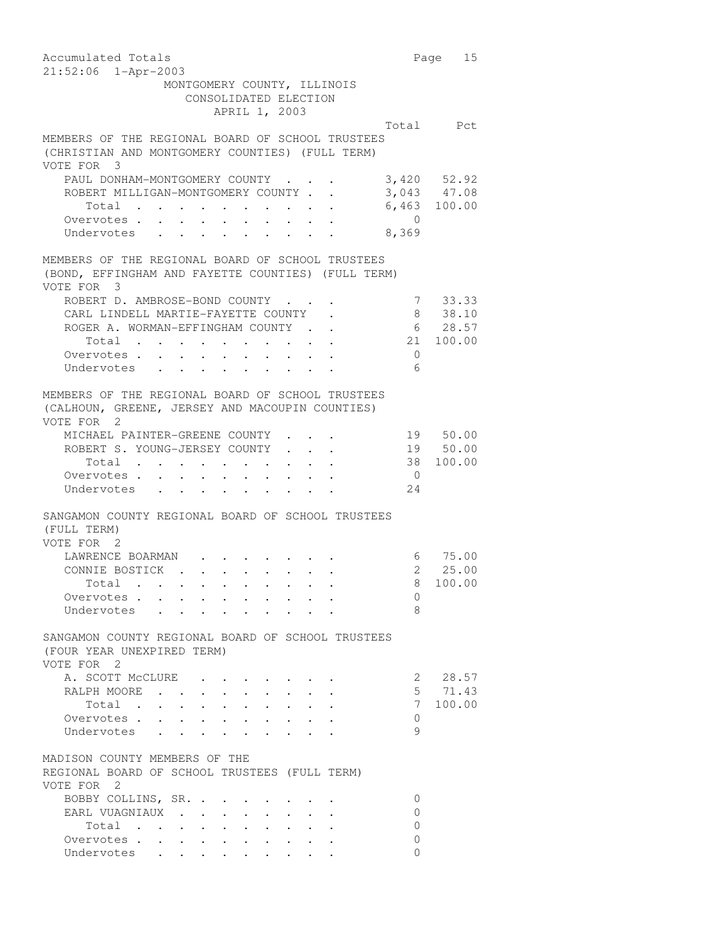| Accumulated Totals                                                                                                                                                                          |                | Page 15         |
|---------------------------------------------------------------------------------------------------------------------------------------------------------------------------------------------|----------------|-----------------|
| $21:52:06$ $1 - Appr-2003$                                                                                                                                                                  |                |                 |
| MONTGOMERY COUNTY, ILLINOIS                                                                                                                                                                 |                |                 |
| CONSOLIDATED ELECTION                                                                                                                                                                       |                |                 |
| APRIL 1, 2003                                                                                                                                                                               |                |                 |
|                                                                                                                                                                                             |                | Total Pct       |
| MEMBERS OF THE REGIONAL BOARD OF SCHOOL TRUSTEES                                                                                                                                            |                |                 |
| (CHRISTIAN AND MONTGOMERY COUNTIES) (FULL TERM)<br>VOTE FOR 3                                                                                                                               |                |                 |
| PAUL DONHAM-MONTGOMERY COUNTY                                                                                                                                                               |                | 3,420 52.92     |
| ROBERT MILLIGAN-MONTGOMERY COUNTY.<br>$\mathbb{R}^{\mathbb{Z}}$                                                                                                                             |                | 3,043 47.08     |
| Total .<br>$\sim$ $-$<br>$\bullet$ .<br><br><br><br><br><br><br><br><br><br><br><br><br>$\bullet \qquad \bullet \qquad \bullet \qquad \bullet \qquad \bullet \qquad \bullet \qquad \bullet$ |                | 6,463 100.00    |
| Overvotes<br>$\mathbf{r}$ , $\mathbf{r}$ , $\mathbf{r}$ , $\mathbf{r}$<br>$\cdot$ $\cdot$                                                                                                   | $\overline{0}$ |                 |
| Undervotes                                                                                                                                                                                  | 8,369          |                 |
| MEMBERS OF THE REGIONAL BOARD OF SCHOOL TRUSTEES<br>(BOND, EFFINGHAM AND FAYETTE COUNTIES) (FULL TERM)                                                                                      |                |                 |
| VOTE FOR 3<br>ROBERT D. AMBROSE-BOND COUNTY.                                                                                                                                                |                | 7 33.33         |
| CARL LINDELL MARTIE-FAYETTE COUNTY                                                                                                                                                          | 8              | 38.10           |
| ROGER A. WORMAN-EFFINGHAM COUNTY.                                                                                                                                                           |                | $6\qquad 28.57$ |
| Total                                                                                                                                                                                       |                | 21 100.00       |
| Overvotes.<br>$\mathbb{R}^n$ . As in the $\mathbb{R}^n$                                                                                                                                     | $\Omega$       |                 |
| Undervotes                                                                                                                                                                                  | 6              |                 |
|                                                                                                                                                                                             |                |                 |
| MEMBERS OF THE REGIONAL BOARD OF SCHOOL TRUSTEES<br>(CALHOUN, GREENE, JERSEY AND MACOUPIN COUNTIES)<br>VOTE FOR 2                                                                           |                |                 |
| MICHAEL PAINTER-GREENE COUNTY                                                                                                                                                               |                | 19 50.00        |
| ROBERT S. YOUNG-JERSEY COUNTY<br>$\mathbf{r}$                                                                                                                                               |                | 19 50.00        |
| Total $\cdots$<br>$\cdot$ $\cdot$ $\cdot$ $\cdot$                                                                                                                                           | 38             | 100.00          |
| Overvotes                                                                                                                                                                                   | $\overline{0}$ |                 |
| Undervotes                                                                                                                                                                                  | 24             |                 |
|                                                                                                                                                                                             |                |                 |
| SANGAMON COUNTY REGIONAL BOARD OF SCHOOL TRUSTEES<br>(FULL TERM)<br>VOTE FOR 2                                                                                                              |                |                 |
| LAWRENCE BOARMAN                                                                                                                                                                            |                | 6 75.00         |
| CONNIE BOSTICK                                                                                                                                                                              | $\overline{a}$ | 25.00           |
| Total .                                                                                                                                                                                     |                | 8 100.00        |
| Overvotes                                                                                                                                                                                   | $\mathbf{0}$   |                 |
| Undervotes                                                                                                                                                                                  | 8              |                 |
| SANGAMON COUNTY REGIONAL BOARD OF SCHOOL TRUSTEES<br>(FOUR YEAR UNEXPIRED TERM)<br>VOTE FOR 2                                                                                               |                |                 |
|                                                                                                                                                                                             |                | 2 28.57         |
| A. SCOTT MCCLURE                                                                                                                                                                            |                | 5, 71.43        |
| RALPH MOORE<br>$\ddot{\phantom{0}}$<br>$\bullet$ .<br>Total                                                                                                                                 | 7              | 100.00          |
| Overvotes.                                                                                                                                                                                  | 0              |                 |
| Undervotes                                                                                                                                                                                  | $\circ$        |                 |
|                                                                                                                                                                                             |                |                 |
| MADISON COUNTY MEMBERS OF THE<br>REGIONAL BOARD OF SCHOOL TRUSTEES (FULL TERM)                                                                                                              |                |                 |
| VOTE FOR 2                                                                                                                                                                                  |                |                 |
| BOBBY COLLINS, SR.                                                                                                                                                                          | $\mathbf{0}$   |                 |
| EARL VUAGNIAUX<br>$\ddot{\phantom{0}}$<br>$\sim$ $-$<br>$\ddot{\phantom{0}}$                                                                                                                | 0              |                 |
| Total                                                                                                                                                                                       | 0              |                 |
| Overvotes.                                                                                                                                                                                  | 0              |                 |
| Undervotes                                                                                                                                                                                  | $\Omega$       |                 |